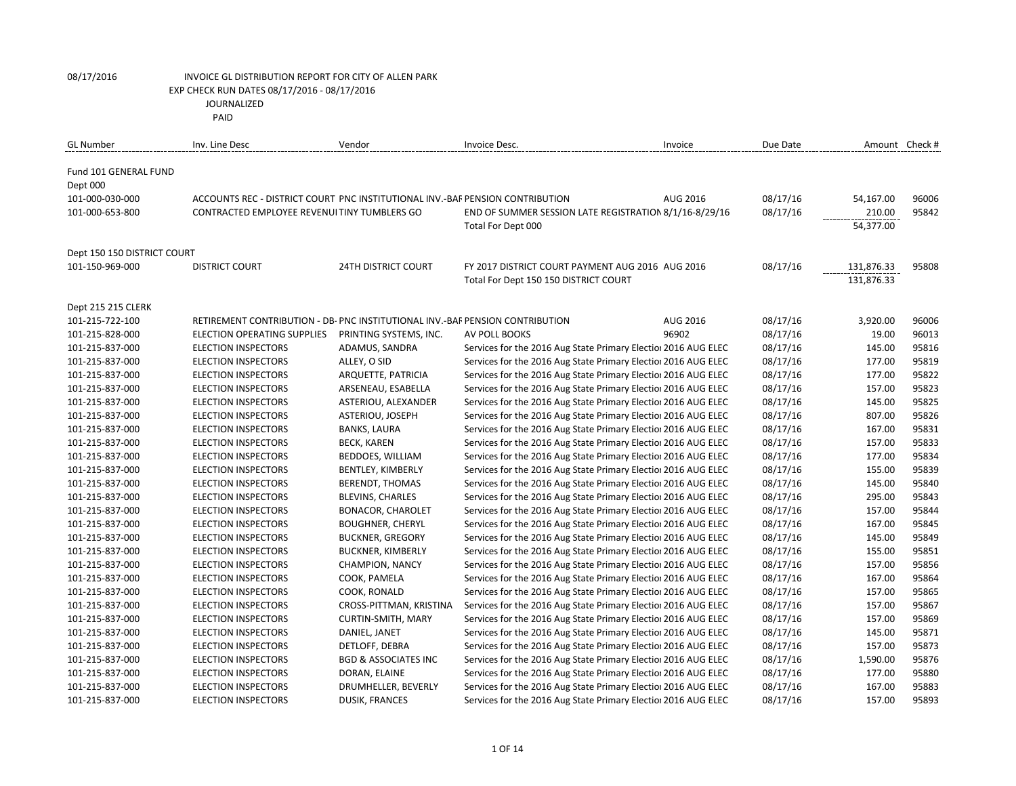| <b>GL Number</b>                  | Inv. Line Desc                                                                | Vendor                          | Invoice Desc.                                                  | Invoice  | Due Date | Amount Check # |       |
|-----------------------------------|-------------------------------------------------------------------------------|---------------------------------|----------------------------------------------------------------|----------|----------|----------------|-------|
| Fund 101 GENERAL FUND<br>Dept 000 |                                                                               |                                 |                                                                |          |          |                |       |
| 101-000-030-000                   | ACCOUNTS REC - DISTRICT COURT PNC INSTITUTIONAL INV.-BAF PENSION CONTRIBUTION |                                 |                                                                | AUG 2016 | 08/17/16 | 54,167.00      | 96006 |
| 101-000-653-800                   | CONTRACTED EMPLOYEE REVENUITINY TUMBLERS GO                                   |                                 | END OF SUMMER SESSION LATE REGISTRATION 8/1/16-8/29/16         |          | 08/17/16 | 210.00         | 95842 |
|                                   |                                                                               |                                 | Total For Dept 000                                             |          |          | 54,377.00      |       |
| Dept 150 150 DISTRICT COURT       |                                                                               |                                 |                                                                |          |          |                |       |
| 101-150-969-000                   | <b>DISTRICT COURT</b>                                                         | <b>24TH DISTRICT COURT</b>      | FY 2017 DISTRICT COURT PAYMENT AUG 2016 AUG 2016               |          | 08/17/16 | 131,876.33     | 95808 |
|                                   |                                                                               |                                 | Total For Dept 150 150 DISTRICT COURT                          |          |          | 131,876.33     |       |
| Dept 215 215 CLERK                |                                                                               |                                 |                                                                |          |          |                |       |
| 101-215-722-100                   | RETIREMENT CONTRIBUTION - DB- PNC INSTITUTIONAL INV.-BAF PENSION CONTRIBUTION |                                 |                                                                | AUG 2016 | 08/17/16 | 3,920.00       | 96006 |
| 101-215-828-000                   | ELECTION OPERATING SUPPLIES                                                   | PRINTING SYSTEMS, INC.          | AV POLL BOOKS                                                  | 96902    | 08/17/16 | 19.00          | 96013 |
| 101-215-837-000                   | <b>ELECTION INSPECTORS</b>                                                    | ADAMUS, SANDRA                  | Services for the 2016 Aug State Primary Election 2016 AUG ELEC |          | 08/17/16 | 145.00         | 95816 |
| 101-215-837-000                   | ELECTION INSPECTORS                                                           | ALLEY, O SID                    | Services for the 2016 Aug State Primary Election 2016 AUG ELEC |          | 08/17/16 | 177.00         | 95819 |
| 101-215-837-000                   | <b>ELECTION INSPECTORS</b>                                                    | ARQUETTE, PATRICIA              | Services for the 2016 Aug State Primary Election 2016 AUG ELEC |          | 08/17/16 | 177.00         | 95822 |
| 101-215-837-000                   | <b>ELECTION INSPECTORS</b>                                                    | ARSENEAU, ESABELLA              | Services for the 2016 Aug State Primary Election 2016 AUG ELEC |          | 08/17/16 | 157.00         | 95823 |
| 101-215-837-000                   | <b>ELECTION INSPECTORS</b>                                                    | ASTERIOU, ALEXANDER             | Services for the 2016 Aug State Primary Election 2016 AUG ELEC |          | 08/17/16 | 145.00         | 95825 |
| 101-215-837-000                   | <b>ELECTION INSPECTORS</b>                                                    | ASTERIOU, JOSEPH                | Services for the 2016 Aug State Primary Election 2016 AUG ELEC |          | 08/17/16 | 807.00         | 95826 |
| 101-215-837-000                   | <b>ELECTION INSPECTORS</b>                                                    | <b>BANKS, LAURA</b>             | Services for the 2016 Aug State Primary Election 2016 AUG ELEC |          | 08/17/16 | 167.00         | 95831 |
| 101-215-837-000                   | <b>ELECTION INSPECTORS</b>                                                    | <b>BECK, KAREN</b>              | Services for the 2016 Aug State Primary Election 2016 AUG ELEC |          | 08/17/16 | 157.00         | 95833 |
| 101-215-837-000                   | <b>ELECTION INSPECTORS</b>                                                    | BEDDOES, WILLIAM                | Services for the 2016 Aug State Primary Election 2016 AUG ELEC |          | 08/17/16 | 177.00         | 95834 |
| 101-215-837-000                   | <b>ELECTION INSPECTORS</b>                                                    | BENTLEY, KIMBERLY               | Services for the 2016 Aug State Primary Election 2016 AUG ELEC |          | 08/17/16 | 155.00         | 95839 |
| 101-215-837-000                   | <b>ELECTION INSPECTORS</b>                                                    | <b>BERENDT, THOMAS</b>          | Services for the 2016 Aug State Primary Election 2016 AUG ELEC |          | 08/17/16 | 145.00         | 95840 |
| 101-215-837-000                   | <b>ELECTION INSPECTORS</b>                                                    | <b>BLEVINS, CHARLES</b>         | Services for the 2016 Aug State Primary Election 2016 AUG ELEC |          | 08/17/16 | 295.00         | 95843 |
| 101-215-837-000                   | <b>ELECTION INSPECTORS</b>                                                    | <b>BONACOR, CHAROLET</b>        | Services for the 2016 Aug State Primary Election 2016 AUG ELEC |          | 08/17/16 | 157.00         | 95844 |
| 101-215-837-000                   | <b>ELECTION INSPECTORS</b>                                                    | <b>BOUGHNER, CHERYL</b>         | Services for the 2016 Aug State Primary Election 2016 AUG ELEC |          | 08/17/16 | 167.00         | 95845 |
| 101-215-837-000                   | <b>ELECTION INSPECTORS</b>                                                    | <b>BUCKNER, GREGORY</b>         | Services for the 2016 Aug State Primary Election 2016 AUG ELEC |          | 08/17/16 | 145.00         | 95849 |
| 101-215-837-000                   | <b>ELECTION INSPECTORS</b>                                                    | <b>BUCKNER, KIMBERLY</b>        | Services for the 2016 Aug State Primary Election 2016 AUG ELEC |          | 08/17/16 | 155.00         | 95851 |
| 101-215-837-000                   | <b>ELECTION INSPECTORS</b>                                                    | CHAMPION, NANCY                 | Services for the 2016 Aug State Primary Election 2016 AUG ELEC |          | 08/17/16 | 157.00         | 95856 |
| 101-215-837-000                   | <b>ELECTION INSPECTORS</b>                                                    | COOK, PAMELA                    | Services for the 2016 Aug State Primary Election 2016 AUG ELEC |          | 08/17/16 | 167.00         | 95864 |
| 101-215-837-000                   | <b>ELECTION INSPECTORS</b>                                                    | COOK, RONALD                    | Services for the 2016 Aug State Primary Election 2016 AUG ELEC |          | 08/17/16 | 157.00         | 95865 |
| 101-215-837-000                   | <b>ELECTION INSPECTORS</b>                                                    | CROSS-PITTMAN, KRISTINA         | Services for the 2016 Aug State Primary Election 2016 AUG ELEC |          | 08/17/16 | 157.00         | 95867 |
| 101-215-837-000                   | <b>ELECTION INSPECTORS</b>                                                    | CURTIN-SMITH, MARY              | Services for the 2016 Aug State Primary Election 2016 AUG ELEC |          | 08/17/16 | 157.00         | 95869 |
| 101-215-837-000                   | <b>ELECTION INSPECTORS</b>                                                    | DANIEL, JANET                   | Services for the 2016 Aug State Primary Election 2016 AUG ELEC |          | 08/17/16 | 145.00         | 95871 |
| 101-215-837-000                   | <b>ELECTION INSPECTORS</b>                                                    | DETLOFF, DEBRA                  | Services for the 2016 Aug State Primary Election 2016 AUG ELEC |          | 08/17/16 | 157.00         | 95873 |
| 101-215-837-000                   | <b>ELECTION INSPECTORS</b>                                                    | <b>BGD &amp; ASSOCIATES INC</b> | Services for the 2016 Aug State Primary Election 2016 AUG ELEC |          | 08/17/16 | 1,590.00       | 95876 |
| 101-215-837-000                   | <b>ELECTION INSPECTORS</b>                                                    | DORAN, ELAINE                   | Services for the 2016 Aug State Primary Election 2016 AUG ELEC |          | 08/17/16 | 177.00         | 95880 |
| 101-215-837-000                   | <b>ELECTION INSPECTORS</b>                                                    | DRUMHELLER, BEVERLY             | Services for the 2016 Aug State Primary Election 2016 AUG ELEC |          | 08/17/16 | 167.00         | 95883 |
| 101-215-837-000                   | <b>ELECTION INSPECTORS</b>                                                    | <b>DUSIK, FRANCES</b>           | Services for the 2016 Aug State Primary Election 2016 AUG ELEC |          | 08/17/16 | 157.00         | 95893 |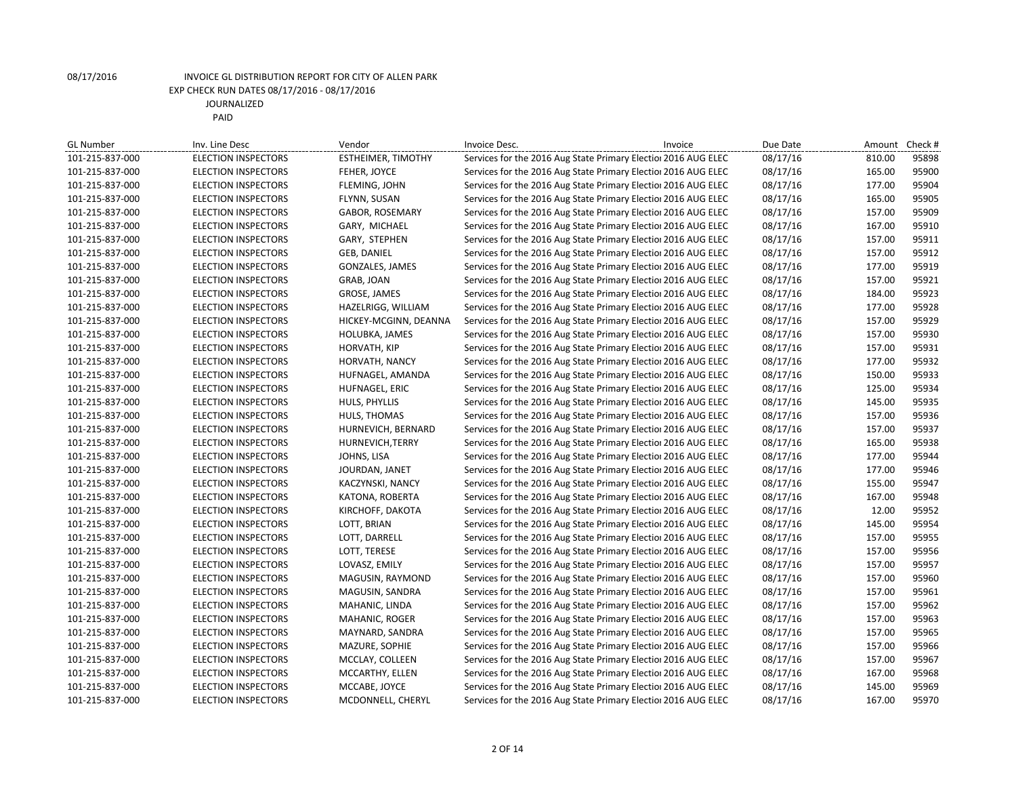| <b>GL Number</b> | Inv. Line Desc             | Vendor                | Invoice Desc. | Invoice                                                        | Due Date | Amount Check #  |
|------------------|----------------------------|-----------------------|---------------|----------------------------------------------------------------|----------|-----------------|
| 101-215-837-000  | <b>ELECTION INSPECTORS</b> | ESTHEIMER, TIMOTHY    |               | Services for the 2016 Aug State Primary Election 2016 AUG ELEC | 08/17/16 | 95898<br>810.00 |
| 101-215-837-000  | <b>ELECTION INSPECTORS</b> | FEHER, JOYCE          |               | Services for the 2016 Aug State Primary Election 2016 AUG ELEC | 08/17/16 | 165.00<br>95900 |
| 101-215-837-000  | <b>ELECTION INSPECTORS</b> | FLEMING, JOHN         |               | Services for the 2016 Aug State Primary Election 2016 AUG ELEC | 08/17/16 | 177.00<br>95904 |
| 101-215-837-000  | <b>ELECTION INSPECTORS</b> | FLYNN, SUSAN          |               | Services for the 2016 Aug State Primary Election 2016 AUG ELEC | 08/17/16 | 95905<br>165.00 |
| 101-215-837-000  | <b>ELECTION INSPECTORS</b> | GABOR, ROSEMARY       |               | Services for the 2016 Aug State Primary Election 2016 AUG ELEC | 08/17/16 | 95909<br>157.00 |
| 101-215-837-000  | <b>ELECTION INSPECTORS</b> | GARY, MICHAEL         |               | Services for the 2016 Aug State Primary Election 2016 AUG ELEC | 08/17/16 | 167.00<br>95910 |
| 101-215-837-000  | <b>ELECTION INSPECTORS</b> | GARY, STEPHEN         |               | Services for the 2016 Aug State Primary Election 2016 AUG ELEC | 08/17/16 | 157.00<br>95911 |
| 101-215-837-000  | <b>ELECTION INSPECTORS</b> | <b>GEB, DANIEL</b>    |               | Services for the 2016 Aug State Primary Election 2016 AUG ELEC | 08/17/16 | 95912<br>157.00 |
| 101-215-837-000  | <b>ELECTION INSPECTORS</b> | GONZALES, JAMES       |               | Services for the 2016 Aug State Primary Election 2016 AUG ELEC | 08/17/16 | 177.00<br>95919 |
| 101-215-837-000  | <b>ELECTION INSPECTORS</b> | GRAB, JOAN            |               | Services for the 2016 Aug State Primary Election 2016 AUG ELEC | 08/17/16 | 95921<br>157.00 |
| 101-215-837-000  | ELECTION INSPECTORS        | GROSE, JAMES          |               | Services for the 2016 Aug State Primary Election 2016 AUG ELEC | 08/17/16 | 95923<br>184.00 |
| 101-215-837-000  | <b>ELECTION INSPECTORS</b> | HAZELRIGG, WILLIAM    |               | Services for the 2016 Aug State Primary Election 2016 AUG ELEC | 08/17/16 | 95928<br>177.00 |
| 101-215-837-000  | <b>ELECTION INSPECTORS</b> | HICKEY-MCGINN, DEANNA |               | Services for the 2016 Aug State Primary Election 2016 AUG ELEC | 08/17/16 | 95929<br>157.00 |
| 101-215-837-000  | <b>ELECTION INSPECTORS</b> | HOLUBKA, JAMES        |               | Services for the 2016 Aug State Primary Election 2016 AUG ELEC | 08/17/16 | 95930<br>157.00 |
| 101-215-837-000  | <b>ELECTION INSPECTORS</b> | HORVATH, KIP          |               | Services for the 2016 Aug State Primary Election 2016 AUG ELEC | 08/17/16 | 95931<br>157.00 |
| 101-215-837-000  | <b>ELECTION INSPECTORS</b> | HORVATH, NANCY        |               | Services for the 2016 Aug State Primary Election 2016 AUG ELEC | 08/17/16 | 177.00<br>95932 |
| 101-215-837-000  | <b>ELECTION INSPECTORS</b> | HUFNAGEL, AMANDA      |               | Services for the 2016 Aug State Primary Election 2016 AUG ELEC | 08/17/16 | 95933<br>150.00 |
| 101-215-837-000  | <b>ELECTION INSPECTORS</b> | HUFNAGEL, ERIC        |               | Services for the 2016 Aug State Primary Election 2016 AUG ELEC | 08/17/16 | 95934<br>125.00 |
| 101-215-837-000  | <b>ELECTION INSPECTORS</b> | HULS, PHYLLIS         |               | Services for the 2016 Aug State Primary Election 2016 AUG ELEC | 08/17/16 | 95935<br>145.00 |
| 101-215-837-000  | <b>ELECTION INSPECTORS</b> | HULS, THOMAS          |               | Services for the 2016 Aug State Primary Election 2016 AUG ELEC | 08/17/16 | 95936<br>157.00 |
| 101-215-837-000  | <b>ELECTION INSPECTORS</b> | HURNEVICH, BERNARD    |               | Services for the 2016 Aug State Primary Election 2016 AUG ELEC | 08/17/16 | 95937<br>157.00 |
| 101-215-837-000  | <b>ELECTION INSPECTORS</b> | HURNEVICH, TERRY      |               | Services for the 2016 Aug State Primary Election 2016 AUG ELEC | 08/17/16 | 165.00<br>95938 |
| 101-215-837-000  | <b>ELECTION INSPECTORS</b> | JOHNS, LISA           |               | Services for the 2016 Aug State Primary Election 2016 AUG ELEC | 08/17/16 | 177.00<br>95944 |
| 101-215-837-000  | <b>ELECTION INSPECTORS</b> | JOURDAN, JANET        |               | Services for the 2016 Aug State Primary Election 2016 AUG ELEC | 08/17/16 | 177.00<br>95946 |
| 101-215-837-000  | <b>ELECTION INSPECTORS</b> | KACZYNSKI, NANCY      |               | Services for the 2016 Aug State Primary Election 2016 AUG ELEC | 08/17/16 | 95947<br>155.00 |
| 101-215-837-000  | <b>ELECTION INSPECTORS</b> | KATONA, ROBERTA       |               | Services for the 2016 Aug State Primary Election 2016 AUG ELEC | 08/17/16 | 95948<br>167.00 |
| 101-215-837-000  | <b>ELECTION INSPECTORS</b> | KIRCHOFF, DAKOTA      |               | Services for the 2016 Aug State Primary Election 2016 AUG ELEC | 08/17/16 | 95952<br>12.00  |
| 101-215-837-000  | <b>ELECTION INSPECTORS</b> | LOTT, BRIAN           |               | Services for the 2016 Aug State Primary Election 2016 AUG ELEC | 08/17/16 | 95954<br>145.00 |
| 101-215-837-000  | <b>ELECTION INSPECTORS</b> | LOTT, DARRELL         |               | Services for the 2016 Aug State Primary Election 2016 AUG ELEC | 08/17/16 | 157.00<br>95955 |
| 101-215-837-000  | <b>ELECTION INSPECTORS</b> | LOTT, TERESE          |               | Services for the 2016 Aug State Primary Election 2016 AUG ELEC | 08/17/16 | 95956<br>157.00 |
| 101-215-837-000  | <b>ELECTION INSPECTORS</b> | LOVASZ, EMILY         |               | Services for the 2016 Aug State Primary Election 2016 AUG ELEC | 08/17/16 | 157.00<br>95957 |
| 101-215-837-000  | <b>ELECTION INSPECTORS</b> | MAGUSIN, RAYMOND      |               | Services for the 2016 Aug State Primary Election 2016 AUG ELEC | 08/17/16 | 95960<br>157.00 |
| 101-215-837-000  | <b>ELECTION INSPECTORS</b> | MAGUSIN, SANDRA       |               | Services for the 2016 Aug State Primary Election 2016 AUG ELEC | 08/17/16 | 157.00<br>95961 |
| 101-215-837-000  | ELECTION INSPECTORS        | MAHANIC, LINDA        |               | Services for the 2016 Aug State Primary Election 2016 AUG ELEC | 08/17/16 | 95962<br>157.00 |
| 101-215-837-000  | <b>ELECTION INSPECTORS</b> | MAHANIC, ROGER        |               | Services for the 2016 Aug State Primary Election 2016 AUG ELEC | 08/17/16 | 95963<br>157.00 |
| 101-215-837-000  | <b>ELECTION INSPECTORS</b> | MAYNARD, SANDRA       |               | Services for the 2016 Aug State Primary Election 2016 AUG ELEC | 08/17/16 | 95965<br>157.00 |
| 101-215-837-000  | <b>ELECTION INSPECTORS</b> | MAZURE, SOPHIE        |               | Services for the 2016 Aug State Primary Election 2016 AUG ELEC | 08/17/16 | 157.00<br>95966 |
| 101-215-837-000  | <b>ELECTION INSPECTORS</b> | MCCLAY, COLLEEN       |               | Services for the 2016 Aug State Primary Election 2016 AUG ELEC | 08/17/16 | 95967<br>157.00 |
| 101-215-837-000  | <b>ELECTION INSPECTORS</b> | MCCARTHY, ELLEN       |               | Services for the 2016 Aug State Primary Election 2016 AUG ELEC | 08/17/16 | 167.00<br>95968 |
| 101-215-837-000  | <b>ELECTION INSPECTORS</b> | MCCABE, JOYCE         |               | Services for the 2016 Aug State Primary Election 2016 AUG ELEC | 08/17/16 | 145.00<br>95969 |
| 101-215-837-000  | <b>ELECTION INSPECTORS</b> | MCDONNELL, CHERYL     |               | Services for the 2016 Aug State Primary Election 2016 AUG ELEC | 08/17/16 | 167.00<br>95970 |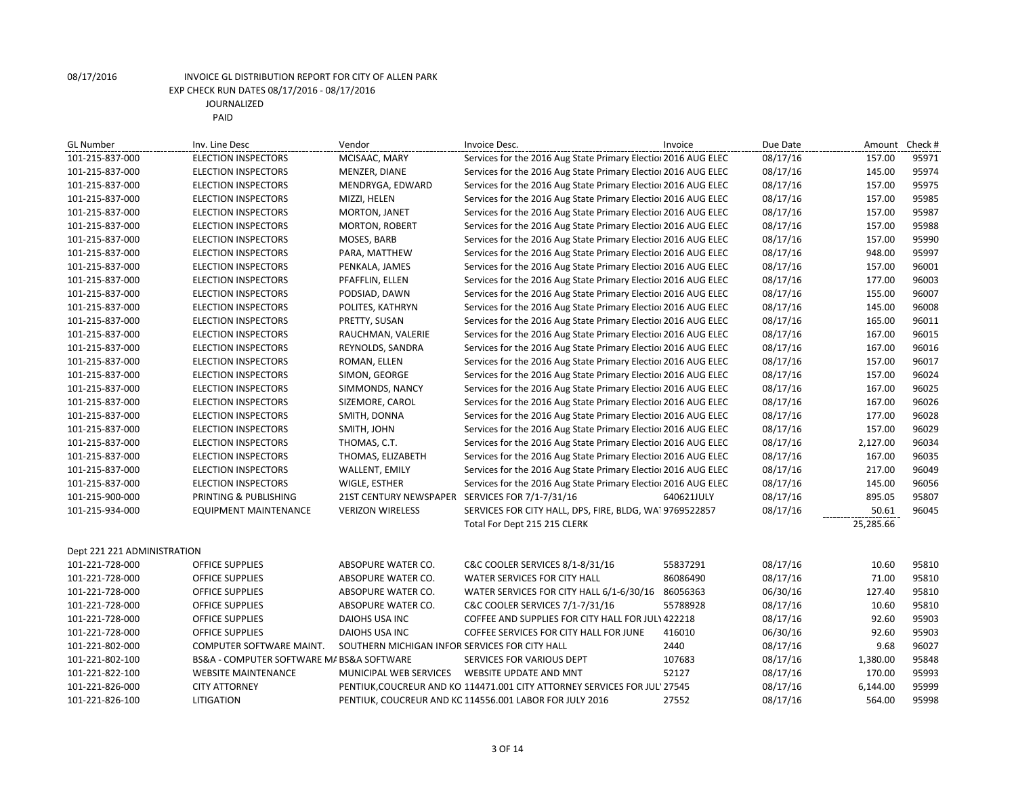| <b>GL Number</b>            | Inv. Line Desc                            | Vendor                                         | Invoice Desc.                                                             | Invoice    | Due Date | Amount    | Check # |
|-----------------------------|-------------------------------------------|------------------------------------------------|---------------------------------------------------------------------------|------------|----------|-----------|---------|
| 101-215-837-000             | <b>ELECTION INSPECTORS</b>                | MCISAAC, MARY                                  | Services for the 2016 Aug State Primary Election 2016 AUG ELEC            |            | 08/17/16 | 157.00    | 95971   |
| 101-215-837-000             | <b>ELECTION INSPECTORS</b>                | MENZER, DIANE                                  | Services for the 2016 Aug State Primary Election 2016 AUG ELEC            |            | 08/17/16 | 145.00    | 95974   |
| 101-215-837-000             | <b>ELECTION INSPECTORS</b>                | MENDRYGA, EDWARD                               | Services for the 2016 Aug State Primary Election 2016 AUG ELEC            |            | 08/17/16 | 157.00    | 95975   |
| 101-215-837-000             | <b>ELECTION INSPECTORS</b>                | MIZZI, HELEN                                   | Services for the 2016 Aug State Primary Election 2016 AUG ELEC            |            | 08/17/16 | 157.00    | 95985   |
| 101-215-837-000             | <b>ELECTION INSPECTORS</b>                | MORTON, JANET                                  | Services for the 2016 Aug State Primary Election 2016 AUG ELEC            |            | 08/17/16 | 157.00    | 95987   |
| 101-215-837-000             | <b>ELECTION INSPECTORS</b>                | <b>MORTON, ROBERT</b>                          | Services for the 2016 Aug State Primary Election 2016 AUG ELEC            |            | 08/17/16 | 157.00    | 95988   |
| 101-215-837-000             | <b>ELECTION INSPECTORS</b>                | MOSES, BARB                                    | Services for the 2016 Aug State Primary Election 2016 AUG ELEC            |            | 08/17/16 | 157.00    | 95990   |
| 101-215-837-000             | <b>ELECTION INSPECTORS</b>                | PARA, MATTHEW                                  | Services for the 2016 Aug State Primary Election 2016 AUG ELEC            |            | 08/17/16 | 948.00    | 95997   |
| 101-215-837-000             | <b>ELECTION INSPECTORS</b>                | PENKALA, JAMES                                 | Services for the 2016 Aug State Primary Election 2016 AUG ELEC            |            | 08/17/16 | 157.00    | 96001   |
| 101-215-837-000             | <b>ELECTION INSPECTORS</b>                | PFAFFLIN, ELLEN                                | Services for the 2016 Aug State Primary Election 2016 AUG ELEC            |            | 08/17/16 | 177.00    | 96003   |
| 101-215-837-000             | <b>ELECTION INSPECTORS</b>                | PODSIAD, DAWN                                  | Services for the 2016 Aug State Primary Election 2016 AUG ELEC            |            | 08/17/16 | 155.00    | 96007   |
| 101-215-837-000             | <b>ELECTION INSPECTORS</b>                | POLITES, KATHRYN                               | Services for the 2016 Aug State Primary Election 2016 AUG ELEC            |            | 08/17/16 | 145.00    | 96008   |
| 101-215-837-000             | <b>ELECTION INSPECTORS</b>                | PRETTY, SUSAN                                  | Services for the 2016 Aug State Primary Election 2016 AUG ELEC            |            | 08/17/16 | 165.00    | 96011   |
| 101-215-837-000             | <b>ELECTION INSPECTORS</b>                | RAUCHMAN, VALERIE                              | Services for the 2016 Aug State Primary Election 2016 AUG ELEC            |            | 08/17/16 | 167.00    | 96015   |
| 101-215-837-000             | <b>ELECTION INSPECTORS</b>                | REYNOLDS, SANDRA                               | Services for the 2016 Aug State Primary Election 2016 AUG ELEC            |            | 08/17/16 | 167.00    | 96016   |
| 101-215-837-000             | <b>ELECTION INSPECTORS</b>                | ROMAN, ELLEN                                   | Services for the 2016 Aug State Primary Election 2016 AUG ELEC            |            | 08/17/16 | 157.00    | 96017   |
| 101-215-837-000             | <b>ELECTION INSPECTORS</b>                | SIMON, GEORGE                                  | Services for the 2016 Aug State Primary Election 2016 AUG ELEC            |            | 08/17/16 | 157.00    | 96024   |
| 101-215-837-000             | <b>ELECTION INSPECTORS</b>                | SIMMONDS, NANCY                                | Services for the 2016 Aug State Primary Election 2016 AUG ELEC            |            | 08/17/16 | 167.00    | 96025   |
| 101-215-837-000             | <b>ELECTION INSPECTORS</b>                | SIZEMORE, CAROL                                | Services for the 2016 Aug State Primary Election 2016 AUG ELEC            |            | 08/17/16 | 167.00    | 96026   |
| 101-215-837-000             | <b>ELECTION INSPECTORS</b>                | SMITH, DONNA                                   | Services for the 2016 Aug State Primary Election 2016 AUG ELEC            |            | 08/17/16 | 177.00    | 96028   |
| 101-215-837-000             | <b>ELECTION INSPECTORS</b>                | SMITH, JOHN                                    | Services for the 2016 Aug State Primary Election 2016 AUG ELEC            |            | 08/17/16 | 157.00    | 96029   |
| 101-215-837-000             | <b>ELECTION INSPECTORS</b>                | THOMAS, C.T.                                   | Services for the 2016 Aug State Primary Election 2016 AUG ELEC            |            | 08/17/16 | 2,127.00  | 96034   |
| 101-215-837-000             | <b>ELECTION INSPECTORS</b>                | THOMAS, ELIZABETH                              | Services for the 2016 Aug State Primary Election 2016 AUG ELEC            |            | 08/17/16 | 167.00    | 96035   |
| 101-215-837-000             | <b>ELECTION INSPECTORS</b>                | WALLENT, EMILY                                 | Services for the 2016 Aug State Primary Election 2016 AUG ELEC            |            | 08/17/16 | 217.00    | 96049   |
| 101-215-837-000             | <b>ELECTION INSPECTORS</b>                | WIGLE, ESTHER                                  | Services for the 2016 Aug State Primary Election 2016 AUG ELEC            |            | 08/17/16 | 145.00    | 96056   |
| 101-215-900-000             | PRINTING & PUBLISHING                     | <b>21ST CENTURY NEWSPAPER</b>                  | SERVICES FOR 7/1-7/31/16                                                  | 640621JULY | 08/17/16 | 895.05    | 95807   |
| 101-215-934-000             | <b>EQUIPMENT MAINTENANCE</b>              | <b>VERIZON WIRELESS</b>                        | SERVICES FOR CITY HALL, DPS, FIRE, BLDG, WAI 9769522857                   |            | 08/17/16 | 50.61     | 96045   |
|                             |                                           |                                                | Total For Dept 215 215 CLERK                                              |            |          | 25,285.66 |         |
| Dept 221 221 ADMINISTRATION |                                           |                                                |                                                                           |            |          |           |         |
| 101-221-728-000             | OFFICE SUPPLIES                           | ABSOPURE WATER CO.                             | C&C COOLER SERVICES 8/1-8/31/16                                           | 55837291   | 08/17/16 | 10.60     | 95810   |
| 101-221-728-000             | <b>OFFICE SUPPLIES</b>                    | ABSOPURE WATER CO.                             | WATER SERVICES FOR CITY HALL                                              | 86086490   | 08/17/16 | 71.00     | 95810   |
| 101-221-728-000             | <b>OFFICE SUPPLIES</b>                    | ABSOPURE WATER CO.                             | WATER SERVICES FOR CITY HALL 6/1-6/30/16 86056363                         |            | 06/30/16 | 127.40    | 95810   |
| 101-221-728-000             | OFFICE SUPPLIES                           | ABSOPURE WATER CO.                             | C&C COOLER SERVICES 7/1-7/31/16                                           | 55788928   | 08/17/16 | 10.60     | 95810   |
| 101-221-728-000             | <b>OFFICE SUPPLIES</b>                    | DAIOHS USA INC                                 | COFFEE AND SUPPLIES FOR CITY HALL FOR JULY 422218                         |            | 08/17/16 | 92.60     | 95903   |
| 101-221-728-000             | OFFICE SUPPLIES                           | DAIOHS USA INC                                 | COFFEE SERVICES FOR CITY HALL FOR JUNE                                    | 416010     | 06/30/16 | 92.60     | 95903   |
| 101-221-802-000             | COMPUTER SOFTWARE MAINT.                  | SOUTHERN MICHIGAN INFOR SERVICES FOR CITY HALL |                                                                           | 2440       | 08/17/16 | 9.68      | 96027   |
| 101-221-802-100             | BS&A - COMPUTER SOFTWARE M/ BS&A SOFTWARE |                                                | SERVICES FOR VARIOUS DEPT                                                 | 107683     | 08/17/16 | 1,380.00  | 95848   |
| 101-221-822-100             | <b>WEBSITE MAINTENANCE</b>                | MUNICIPAL WEB SERVICES                         | WEBSITE UPDATE AND MNT                                                    | 52127      | 08/17/16 | 170.00    | 95993   |
| 101-221-826-000             | <b>CITY ATTORNEY</b>                      |                                                | PENTIUK, COUCREUR AND KO 114471.001 CITY ATTORNEY SERVICES FOR JULY 27545 |            | 08/17/16 | 6,144.00  | 95999   |
| 101-221-826-100             | LITIGATION                                |                                                | PENTIUK, COUCREUR AND KC 114556.001 LABOR FOR JULY 2016                   | 27552      | 08/17/16 | 564.00    | 95998   |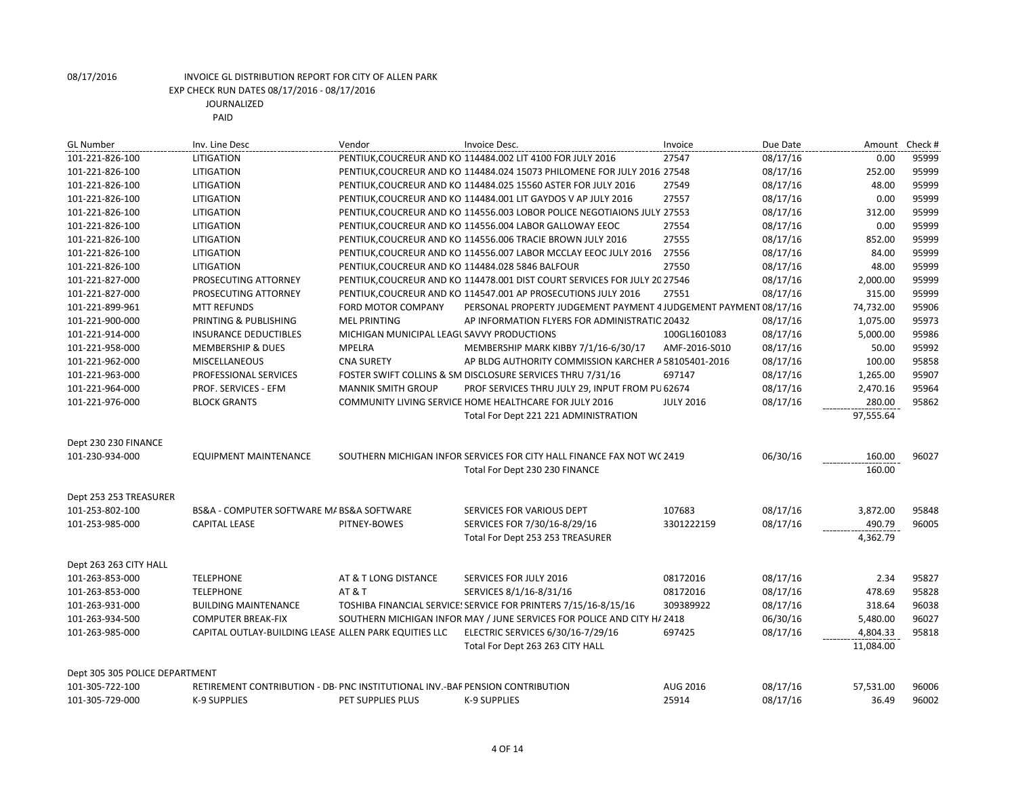| <b>GL Number</b>               | Inv. Line Desc                                                                | Vendor                                           | Invoice Desc.                                                             | Invoice          | Due Date | Amount    | Check # |
|--------------------------------|-------------------------------------------------------------------------------|--------------------------------------------------|---------------------------------------------------------------------------|------------------|----------|-----------|---------|
| 101-221-826-100                | LITIGATION                                                                    |                                                  | PENTIUK, COUCREUR AND KO 114484.002 LIT 4100 FOR JULY 2016                | 27547            | 08/17/16 | 0.00      | 95999   |
| 101-221-826-100                | <b>LITIGATION</b>                                                             |                                                  | PENTIUK, COUCREUR AND KO 114484.024 15073 PHILOMENE FOR JULY 2016 27548   |                  | 08/17/16 | 252.00    | 95999   |
| 101-221-826-100                | LITIGATION                                                                    |                                                  | PENTIUK, COUCREUR AND KO 114484.025 15560 ASTER FOR JULY 2016             | 27549            | 08/17/16 | 48.00     | 95999   |
| 101-221-826-100                | LITIGATION                                                                    |                                                  | PENTIUK, COUCREUR AND KO 114484.001 LIT GAYDOS V AP JULY 2016             | 27557            | 08/17/16 | 0.00      | 95999   |
| 101-221-826-100                | LITIGATION                                                                    |                                                  | PENTIUK, COUCREUR AND KO 114556.003 LOBOR POLICE NEGOTIAIONS JULY 27553   |                  | 08/17/16 | 312.00    | 95999   |
| 101-221-826-100                | <b>LITIGATION</b>                                                             |                                                  | PENTIUK, COUCREUR AND KO 114556.004 LABOR GALLOWAY EEOC                   | 27554            | 08/17/16 | 0.00      | 95999   |
| 101-221-826-100                | <b>LITIGATION</b>                                                             |                                                  | PENTIUK, COUCREUR AND KO 114556.006 TRACIE BROWN JULY 2016                | 27555            | 08/17/16 | 852.00    | 95999   |
| 101-221-826-100                | LITIGATION                                                                    |                                                  | PENTIUK, COUCREUR AND KO 114556.007 LABOR MCCLAY EEOC JULY 2016           | 27556            | 08/17/16 | 84.00     | 95999   |
| 101-221-826-100                | LITIGATION                                                                    | PENTIUK, COUCREUR AND KO 114484.028 5846 BALFOUR |                                                                           | 27550            | 08/17/16 | 48.00     | 95999   |
| 101-221-827-000                | PROSECUTING ATTORNEY                                                          |                                                  | PENTIUK, COUCREUR AND KO 114478.001 DIST COURT SERVICES FOR JULY 20 27546 |                  | 08/17/16 | 2,000.00  | 95999   |
| 101-221-827-000                | PROSECUTING ATTORNEY                                                          |                                                  | PENTIUK, COUCREUR AND KO 114547.001 AP PROSECUTIONS JULY 2016             | 27551            | 08/17/16 | 315.00    | 95999   |
| 101-221-899-961                | <b>MTT REFUNDS</b>                                                            | <b>FORD MOTOR COMPANY</b>                        | PERSONAL PROPERTY JUDGEMENT PAYMENT 4 JUDGEMENT PAYMENT 08/17/16          |                  |          | 74,732.00 | 95906   |
| 101-221-900-000                | PRINTING & PUBLISHING                                                         | <b>MEL PRINTING</b>                              | AP INFORMATION FLYERS FOR ADMINISTRATIC 20432                             |                  | 08/17/16 | 1,075.00  | 95973   |
| 101-221-914-000                | <b>INSURANCE DEDUCTIBLES</b>                                                  | MICHIGAN MUNICIPAL LEAGL SAVVY PRODUCTIONS       |                                                                           | 100GL1601083     | 08/17/16 | 5,000.00  | 95986   |
| 101-221-958-000                | <b>MEMBERSHIP &amp; DUES</b>                                                  | <b>MPELRA</b>                                    | MEMBERSHIP MARK KIBBY 7/1/16-6/30/17                                      | AMF-2016-S010    | 08/17/16 | 50.00     | 95992   |
| 101-221-962-000                | MISCELLANEOUS                                                                 | <b>CNA SURETY</b>                                | AP BLDG AUTHORITY COMMISSION KARCHER A 58105401-2016                      |                  | 08/17/16 | 100.00    | 95858   |
| 101-221-963-000                | PROFESSIONAL SERVICES                                                         |                                                  | FOSTER SWIFT COLLINS & SM DISCLOSURE SERVICES THRU 7/31/16                | 697147           | 08/17/16 | 1,265.00  | 95907   |
| 101-221-964-000                | PROF. SERVICES - EFM                                                          | <b>MANNIK SMITH GROUP</b>                        | PROF SERVICES THRU JULY 29, INPUT FROM PU 62674                           |                  | 08/17/16 | 2,470.16  | 95964   |
| 101-221-976-000                | <b>BLOCK GRANTS</b>                                                           |                                                  | COMMUNITY LIVING SERVICE HOME HEALTHCARE FOR JULY 2016                    | <b>JULY 2016</b> | 08/17/16 | 280.00    | 95862   |
|                                |                                                                               |                                                  | Total For Dept 221 221 ADMINISTRATION                                     |                  |          | 97,555.64 |         |
|                                |                                                                               |                                                  |                                                                           |                  |          |           |         |
| Dept 230 230 FINANCE           |                                                                               |                                                  |                                                                           |                  |          |           |         |
| 101-230-934-000                | <b>EQUIPMENT MAINTENANCE</b>                                                  |                                                  | SOUTHERN MICHIGAN INFOR SERVICES FOR CITY HALL FINANCE FAX NOT WC 2419    |                  | 06/30/16 | 160.00    | 96027   |
|                                |                                                                               |                                                  | Total For Dept 230 230 FINANCE                                            |                  |          | 160.00    |         |
|                                |                                                                               |                                                  |                                                                           |                  |          |           |         |
| Dept 253 253 TREASURER         |                                                                               |                                                  |                                                                           |                  |          |           |         |
| 101-253-802-100                | BS&A - COMPUTER SOFTWARE M/ BS&A SOFTWARE                                     |                                                  | SERVICES FOR VARIOUS DEPT                                                 | 107683           | 08/17/16 | 3,872.00  | 95848   |
| 101-253-985-000                | <b>CAPITAL LEASE</b>                                                          | PITNEY-BOWES                                     | SERVICES FOR 7/30/16-8/29/16                                              | 3301222159       | 08/17/16 | 490.79    | 96005   |
|                                |                                                                               |                                                  | Total For Dept 253 253 TREASURER                                          |                  |          | 4,362.79  |         |
|                                |                                                                               |                                                  |                                                                           |                  |          |           |         |
| Dept 263 263 CITY HALL         |                                                                               |                                                  |                                                                           |                  |          |           |         |
| 101-263-853-000                | <b>TELEPHONE</b>                                                              | AT & T LONG DISTANCE                             | <b>SERVICES FOR JULY 2016</b>                                             | 08172016         | 08/17/16 | 2.34      | 95827   |
| 101-263-853-000                | <b>TELEPHONE</b>                                                              | <b>AT &amp; T</b>                                | SERVICES 8/1/16-8/31/16                                                   | 08172016         | 08/17/16 | 478.69    | 95828   |
| 101-263-931-000                | <b>BUILDING MAINTENANCE</b>                                                   |                                                  | TOSHIBA FINANCIAL SERVICE! SERVICE FOR PRINTERS 7/15/16-8/15/16           | 309389922        | 08/17/16 | 318.64    | 96038   |
| 101-263-934-500                | <b>COMPUTER BREAK-FIX</b>                                                     |                                                  | SOUTHERN MICHIGAN INFOR MAY / JUNE SERVICES FOR POLICE AND CITY H/ 2418   |                  | 06/30/16 | 5,480.00  | 96027   |
| 101-263-985-000                | CAPITAL OUTLAY-BUILDING LEASE ALLEN PARK EQUITIES LLC                         |                                                  | ELECTRIC SERVICES 6/30/16-7/29/16                                         | 697425           | 08/17/16 | 4,804.33  | 95818   |
|                                |                                                                               |                                                  | Total For Dept 263 263 CITY HALL                                          |                  |          | 11,084.00 |         |
|                                |                                                                               |                                                  |                                                                           |                  |          |           |         |
| Dept 305 305 POLICE DEPARTMENT |                                                                               |                                                  |                                                                           |                  |          |           |         |
| 101-305-722-100                | RETIREMENT CONTRIBUTION - DB- PNC INSTITUTIONAL INV.-BAF PENSION CONTRIBUTION |                                                  |                                                                           | AUG 2016         | 08/17/16 | 57,531.00 | 96006   |
| 101-305-729-000                | <b>K-9 SUPPLIES</b>                                                           | PET SUPPLIES PLUS                                | <b>K-9 SUPPLIES</b>                                                       | 25914            | 08/17/16 | 36.49     | 96002   |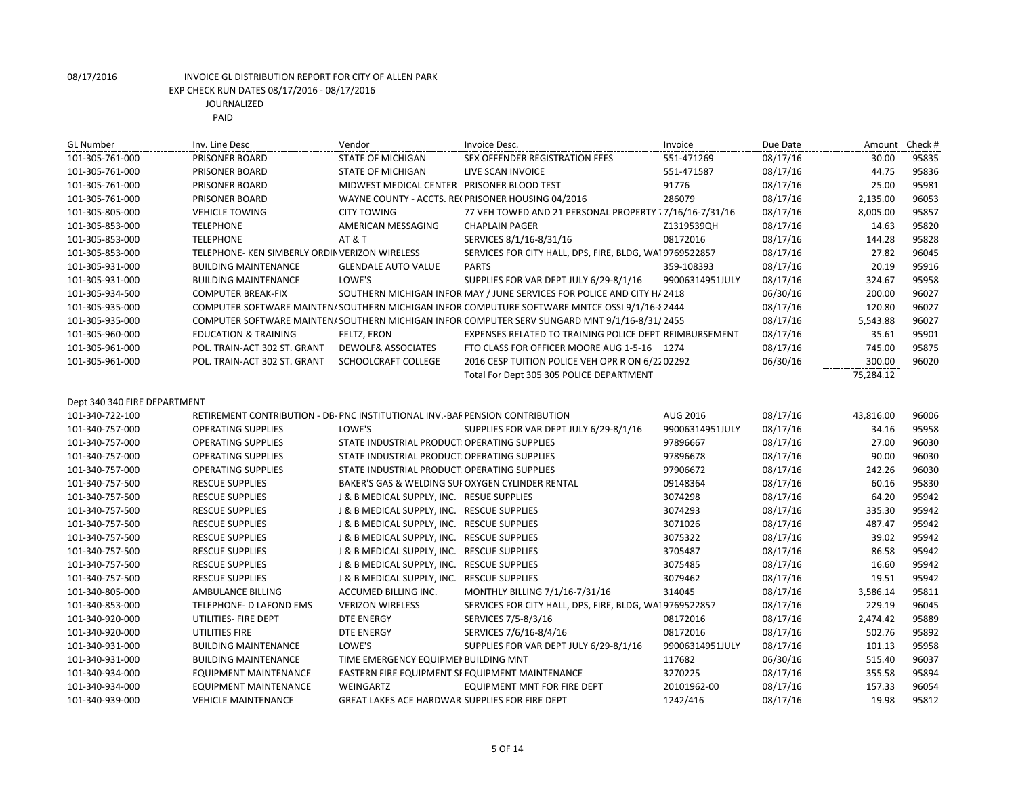| <b>GL Number</b>             | Inv. Line Desc                                                                | Vendor                                         | Invoice Desc.                                                                                  | Invoice         | Due Date | Amount    | Check # |
|------------------------------|-------------------------------------------------------------------------------|------------------------------------------------|------------------------------------------------------------------------------------------------|-----------------|----------|-----------|---------|
| 101-305-761-000              | PRISONER BOARD                                                                | <b>STATE OF MICHIGAN</b>                       | SEX OFFENDER REGISTRATION FEES                                                                 | 551-471269      | 08/17/16 | 30.00     | 95835   |
| 101-305-761-000              | PRISONER BOARD                                                                | <b>STATE OF MICHIGAN</b>                       | LIVE SCAN INVOICE                                                                              | 551-471587      | 08/17/16 | 44.75     | 95836   |
| 101-305-761-000              | PRISONER BOARD                                                                | MIDWEST MEDICAL CENTER PRISONER BLOOD TEST     |                                                                                                | 91776           | 08/17/16 | 25.00     | 95981   |
| 101-305-761-000              | PRISONER BOARD                                                                |                                                | WAYNE COUNTY - ACCTS. RECPRISONER HOUSING 04/2016                                              | 286079          | 08/17/16 | 2,135.00  | 96053   |
| 101-305-805-000              | <b>VEHICLE TOWING</b>                                                         | <b>CITY TOWING</b>                             | 77 VEH TOWED AND 21 PERSONAL PROPERTY : 7/16/16-7/31/16                                        |                 | 08/17/16 | 8,005.00  | 95857   |
| 101-305-853-000              | <b>TELEPHONE</b>                                                              | AMERICAN MESSAGING                             | <b>CHAPLAIN PAGER</b>                                                                          | Z1319539QH      | 08/17/16 | 14.63     | 95820   |
| 101-305-853-000              | <b>TELEPHONE</b>                                                              | <b>AT &amp; T</b>                              | SERVICES 8/1/16-8/31/16                                                                        | 08172016        | 08/17/16 | 144.28    | 95828   |
| 101-305-853-000              | TELEPHONE- KEN SIMBERLY ORDIN VERIZON WIRELESS                                |                                                | SERVICES FOR CITY HALL, DPS, FIRE, BLDG, WAI 9769522857                                        |                 | 08/17/16 | 27.82     | 96045   |
| 101-305-931-000              | <b>BUILDING MAINTENANCE</b>                                                   | <b>GLENDALE AUTO VALUE</b>                     | <b>PARTS</b>                                                                                   | 359-108393      | 08/17/16 | 20.19     | 95916   |
| 101-305-931-000              | <b>BUILDING MAINTENANCE</b>                                                   | LOWE'S                                         | SUPPLIES FOR VAR DEPT JULY 6/29-8/1/16                                                         | 99006314951JULY | 08/17/16 | 324.67    | 95958   |
| 101-305-934-500              | <b>COMPUTER BREAK-FIX</b>                                                     |                                                | SOUTHERN MICHIGAN INFOR MAY / JUNE SERVICES FOR POLICE AND CITY H/ 2418                        |                 | 06/30/16 | 200.00    | 96027   |
| 101-305-935-000              |                                                                               |                                                | COMPUTER SOFTWARE MAINTEN/ SOUTHERN MICHIGAN INFOR COMPUTURE SOFTWARE MNTCE OSSI 9/1/16-8 2444 |                 | 08/17/16 | 120.80    | 96027   |
| 101-305-935-000              |                                                                               |                                                | COMPUTER SOFTWARE MAINTEN/SOUTHERN MICHIGAN INFOR COMPUTER SERV SUNGARD MNT 9/1/16-8/31/2455   |                 | 08/17/16 | 5,543.88  | 96027   |
| 101-305-960-000              | <b>EDUCATION &amp; TRAINING</b>                                               | FELTZ, ERON                                    | EXPENSES RELATED TO TRAINING POLICE DEPT REIMBURSEMENT                                         |                 | 08/17/16 | 35.61     | 95901   |
| 101-305-961-000              | POL. TRAIN-ACT 302 ST. GRANT                                                  | DEWOLF& ASSOCIATES                             | FTO CLASS FOR OFFICER MOORE AUG 1-5-16 1274                                                    |                 | 08/17/16 | 745.00    | 95875   |
| 101-305-961-000              | POL. TRAIN-ACT 302 ST. GRANT                                                  | SCHOOLCRAFT COLLEGE                            | 2016 CESP TUITION POLICE VEH OPR R ON 6/22 02292                                               |                 | 06/30/16 | 300.00    | 96020   |
|                              |                                                                               |                                                | Total For Dept 305 305 POLICE DEPARTMENT                                                       |                 |          | 75,284.12 |         |
|                              |                                                                               |                                                |                                                                                                |                 |          |           |         |
| Dept 340 340 FIRE DEPARTMENT |                                                                               |                                                |                                                                                                |                 |          |           |         |
| 101-340-722-100              | RETIREMENT CONTRIBUTION - DB- PNC INSTITUTIONAL INV.-BAF PENSION CONTRIBUTION |                                                |                                                                                                | AUG 2016        | 08/17/16 | 43,816.00 | 96006   |
| 101-340-757-000              | <b>OPERATING SUPPLIES</b>                                                     | LOWE'S                                         | SUPPLIES FOR VAR DEPT JULY 6/29-8/1/16                                                         | 99006314951JULY | 08/17/16 | 34.16     | 95958   |
| 101-340-757-000              | <b>OPERATING SUPPLIES</b>                                                     | STATE INDUSTRIAL PRODUCT OPERATING SUPPLIES    |                                                                                                | 97896667        | 08/17/16 | 27.00     | 96030   |
| 101-340-757-000              | <b>OPERATING SUPPLIES</b>                                                     | STATE INDUSTRIAL PRODUCT OPERATING SUPPLIES    |                                                                                                | 97896678        | 08/17/16 | 90.00     | 96030   |
| 101-340-757-000              | <b>OPERATING SUPPLIES</b>                                                     | STATE INDUSTRIAL PRODUCT OPERATING SUPPLIES    |                                                                                                | 97906672        | 08/17/16 | 242.26    | 96030   |
| 101-340-757-500              | <b>RESCUE SUPPLIES</b>                                                        |                                                | BAKER'S GAS & WELDING SUI OXYGEN CYLINDER RENTAL                                               | 09148364        | 08/17/16 | 60.16     | 95830   |
| 101-340-757-500              | <b>RESCUE SUPPLIES</b>                                                        | J & B MEDICAL SUPPLY, INC. RESUE SUPPLIES      |                                                                                                | 3074298         | 08/17/16 | 64.20     | 95942   |
| 101-340-757-500              | <b>RESCUE SUPPLIES</b>                                                        | J & B MEDICAL SUPPLY, INC. RESCUE SUPPLIES     |                                                                                                | 3074293         | 08/17/16 | 335.30    | 95942   |
| 101-340-757-500              | <b>RESCUE SUPPLIES</b>                                                        | J & B MEDICAL SUPPLY, INC. RESCUE SUPPLIES     |                                                                                                | 3071026         | 08/17/16 | 487.47    | 95942   |
| 101-340-757-500              | <b>RESCUE SUPPLIES</b>                                                        | J & B MEDICAL SUPPLY, INC. RESCUE SUPPLIES     |                                                                                                | 3075322         | 08/17/16 | 39.02     | 95942   |
| 101-340-757-500              | <b>RESCUE SUPPLIES</b>                                                        | J & B MEDICAL SUPPLY, INC. RESCUE SUPPLIES     |                                                                                                | 3705487         | 08/17/16 | 86.58     | 95942   |
| 101-340-757-500              | <b>RESCUE SUPPLIES</b>                                                        | J & B MEDICAL SUPPLY, INC. RESCUE SUPPLIES     |                                                                                                | 3075485         | 08/17/16 | 16.60     | 95942   |
| 101-340-757-500              | <b>RESCUE SUPPLIES</b>                                                        | J & B MEDICAL SUPPLY, INC. RESCUE SUPPLIES     |                                                                                                | 3079462         | 08/17/16 | 19.51     | 95942   |
| 101-340-805-000              | AMBULANCE BILLING                                                             | ACCUMED BILLING INC.                           | MONTHLY BILLING 7/1/16-7/31/16                                                                 | 314045          | 08/17/16 | 3,586.14  | 95811   |
| 101-340-853-000              | TELEPHONE- D LAFOND EMS                                                       | <b>VERIZON WIRELESS</b>                        | SERVICES FOR CITY HALL, DPS, FIRE, BLDG, WA 9769522857                                         |                 | 08/17/16 | 229.19    | 96045   |
| 101-340-920-000              | UTILITIES- FIRE DEPT                                                          | DTE ENERGY                                     | SERVICES 7/5-8/3/16                                                                            | 08172016        | 08/17/16 | 2,474.42  | 95889   |
| 101-340-920-000              | UTILITIES FIRE                                                                | <b>DTE ENERGY</b>                              | SERVICES 7/6/16-8/4/16                                                                         | 08172016        | 08/17/16 | 502.76    | 95892   |
| 101-340-931-000              | <b>BUILDING MAINTENANCE</b>                                                   | LOWE'S                                         | SUPPLIES FOR VAR DEPT JULY 6/29-8/1/16                                                         | 99006314951JULY | 08/17/16 | 101.13    | 95958   |
| 101-340-931-000              | <b>BUILDING MAINTENANCE</b>                                                   | TIME EMERGENCY EQUIPMEN BUILDING MNT           |                                                                                                | 117682          | 06/30/16 | 515.40    | 96037   |
| 101-340-934-000              | <b>EQUIPMENT MAINTENANCE</b>                                                  |                                                | EASTERN FIRE EQUIPMENT SE EQUIPMENT MAINTENANCE                                                | 3270225         | 08/17/16 | 355.58    | 95894   |
| 101-340-934-000              | <b>EQUIPMENT MAINTENANCE</b>                                                  | <b>WEINGARTZ</b>                               | <b>EQUIPMENT MNT FOR FIRE DEPT</b>                                                             | 20101962-00     | 08/17/16 | 157.33    | 96054   |
| 101-340-939-000              | <b>VEHICLE MAINTENANCE</b>                                                    | GREAT LAKES ACE HARDWAR SUPPLIES FOR FIRE DEPT |                                                                                                | 1242/416        | 08/17/16 | 19.98     | 95812   |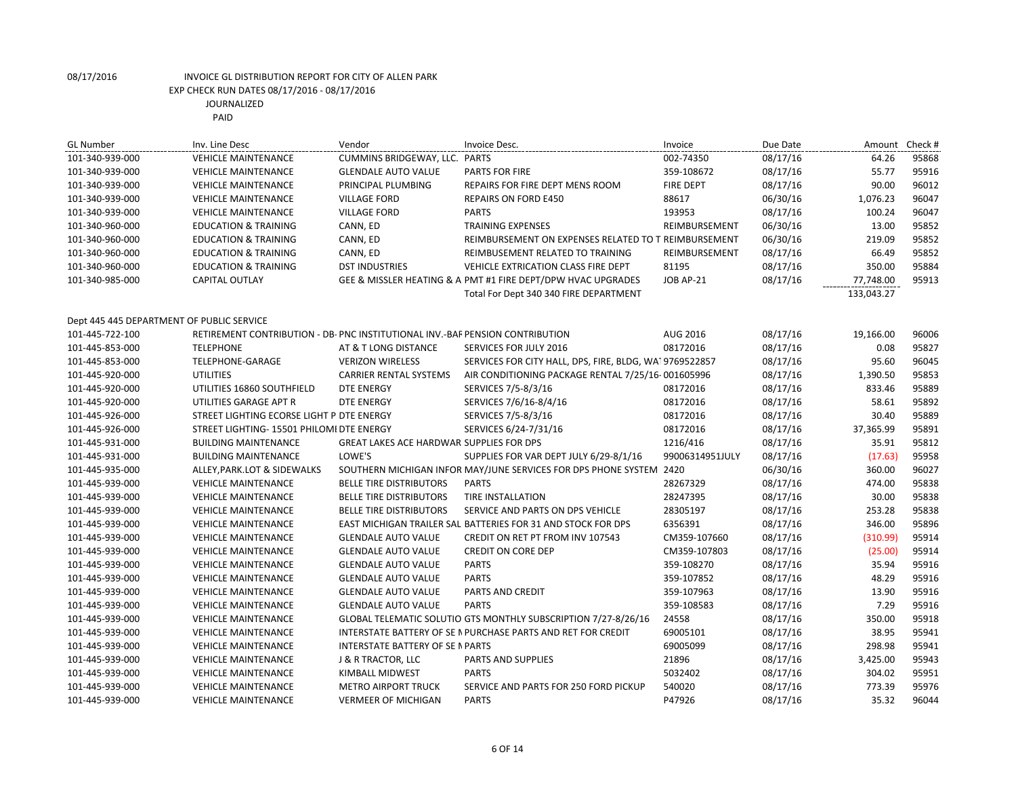| <b>GL Number</b>                          | Inv. Line Desc                                                                | Vendor                                   | Invoice Desc.                                                       | Invoice          | Due Date | Amount     | Check # |
|-------------------------------------------|-------------------------------------------------------------------------------|------------------------------------------|---------------------------------------------------------------------|------------------|----------|------------|---------|
| 101-340-939-000                           | <b>VEHICLE MAINTENANCE</b>                                                    | CUMMINS BRIDGEWAY, LLC. PARTS            |                                                                     | 002-74350        | 08/17/16 | 64.26      | 95868   |
| 101-340-939-000                           | <b>VEHICLE MAINTENANCE</b>                                                    | <b>GLENDALE AUTO VALUE</b>               | PARTS FOR FIRE                                                      | 359-108672       | 08/17/16 | 55.77      | 95916   |
| 101-340-939-000                           | <b>VEHICLE MAINTENANCE</b>                                                    | PRINCIPAL PLUMBING                       | REPAIRS FOR FIRE DEPT MENS ROOM                                     | <b>FIRE DEPT</b> | 08/17/16 | 90.00      | 96012   |
| 101-340-939-000                           | <b>VEHICLE MAINTENANCE</b>                                                    | <b>VILLAGE FORD</b>                      | <b>REPAIRS ON FORD E450</b>                                         | 88617            | 06/30/16 | 1,076.23   | 96047   |
| 101-340-939-000                           | <b>VEHICLE MAINTENANCE</b>                                                    | <b>VILLAGE FORD</b>                      | <b>PARTS</b>                                                        | 193953           | 08/17/16 | 100.24     | 96047   |
| 101-340-960-000                           | <b>EDUCATION &amp; TRAINING</b>                                               | CANN, ED                                 | <b>TRAINING EXPENSES</b>                                            | REIMBURSEMENT    | 06/30/16 | 13.00      | 95852   |
| 101-340-960-000                           | <b>EDUCATION &amp; TRAINING</b>                                               | CANN, ED                                 | REIMBURSEMENT ON EXPENSES RELATED TO T REIMBURSEMENT                |                  | 06/30/16 | 219.09     | 95852   |
| 101-340-960-000                           | <b>EDUCATION &amp; TRAINING</b>                                               | CANN, ED                                 | REIMBUSEMENT RELATED TO TRAINING                                    | REIMBURSEMENT    | 08/17/16 | 66.49      | 95852   |
| 101-340-960-000                           | <b>EDUCATION &amp; TRAINING</b>                                               | <b>DST INDUSTRIES</b>                    | VEHICLE EXTRICATION CLASS FIRE DEPT                                 | 81195            | 08/17/16 | 350.00     | 95884   |
| 101-340-985-000                           | CAPITAL OUTLAY                                                                |                                          | GEE & MISSLER HEATING & A PMT #1 FIRE DEPT/DPW HVAC UPGRADES        | JOB AP-21        | 08/17/16 | 77,748.00  | 95913   |
|                                           |                                                                               |                                          | Total For Dept 340 340 FIRE DEPARTMENT                              |                  |          | 133,043.27 |         |
| Dept 445 445 DEPARTMENT OF PUBLIC SERVICE |                                                                               |                                          |                                                                     |                  |          |            |         |
| 101-445-722-100                           | RETIREMENT CONTRIBUTION - DB- PNC INSTITUTIONAL INV.-BAF PENSION CONTRIBUTION |                                          |                                                                     | AUG 2016         | 08/17/16 | 19,166.00  | 96006   |
| 101-445-853-000                           | <b>TELEPHONE</b>                                                              | AT & T LONG DISTANCE                     | <b>SERVICES FOR JULY 2016</b>                                       | 08172016         | 08/17/16 | 0.08       | 95827   |
| 101-445-853-000                           | TELEPHONE-GARAGE                                                              | <b>VERIZON WIRELESS</b>                  | SERVICES FOR CITY HALL, DPS, FIRE, BLDG, WA19769522857              |                  | 08/17/16 | 95.60      | 96045   |
| 101-445-920-000                           | <b>UTILITIES</b>                                                              | <b>CARRIER RENTAL SYSTEMS</b>            | AIR CONDITIONING PACKAGE RENTAL 7/25/16-001605996                   |                  | 08/17/16 | 1,390.50   | 95853   |
| 101-445-920-000                           | UTILITIES 16860 SOUTHFIELD                                                    | <b>DTE ENERGY</b>                        | SERVICES 7/5-8/3/16                                                 | 08172016         | 08/17/16 | 833.46     | 95889   |
| 101-445-920-000                           | UTILITIES GARAGE APT R                                                        | <b>DTE ENERGY</b>                        | SERVICES 7/6/16-8/4/16                                              | 08172016         | 08/17/16 | 58.61      | 95892   |
| 101-445-926-000                           | STREET LIGHTING ECORSE LIGHT P DTE ENERGY                                     |                                          | SERVICES 7/5-8/3/16                                                 | 08172016         | 08/17/16 | 30.40      | 95889   |
| 101-445-926-000                           | STREET LIGHTING- 15501 PHILOMI DTE ENERGY                                     |                                          | SERVICES 6/24-7/31/16                                               | 08172016         | 08/17/16 | 37,365.99  | 95891   |
| 101-445-931-000                           | <b>BUILDING MAINTENANCE</b>                                                   | GREAT LAKES ACE HARDWAR SUPPLIES FOR DPS |                                                                     | 1216/416         | 08/17/16 | 35.91      | 95812   |
| 101-445-931-000                           | <b>BUILDING MAINTENANCE</b>                                                   | LOWE'S                                   | SUPPLIES FOR VAR DEPT JULY 6/29-8/1/16                              | 99006314951JULY  | 08/17/16 | (17.63)    | 95958   |
| 101-445-935-000                           | ALLEY, PARK. LOT & SIDEWALKS                                                  |                                          | SOUTHERN MICHIGAN INFOR MAY/JUNE SERVICES FOR DPS PHONE SYSTEM 2420 |                  | 06/30/16 | 360.00     | 96027   |
| 101-445-939-000                           | <b>VEHICLE MAINTENANCE</b>                                                    | <b>BELLE TIRE DISTRIBUTORS</b>           | <b>PARTS</b>                                                        | 28267329         | 08/17/16 | 474.00     | 95838   |
| 101-445-939-000                           | <b>VEHICLE MAINTENANCE</b>                                                    | <b>BELLE TIRE DISTRIBUTORS</b>           | <b>TIRE INSTALLATION</b>                                            | 28247395         | 08/17/16 | 30.00      | 95838   |
| 101-445-939-000                           | <b>VEHICLE MAINTENANCE</b>                                                    | <b>BELLE TIRE DISTRIBUTORS</b>           | SERVICE AND PARTS ON DPS VEHICLE                                    | 28305197         | 08/17/16 | 253.28     | 95838   |
| 101-445-939-000                           | <b>VEHICLE MAINTENANCE</b>                                                    |                                          | EAST MICHIGAN TRAILER SAL BATTERIES FOR 31 AND STOCK FOR DPS        | 6356391          | 08/17/16 | 346.00     | 95896   |
| 101-445-939-000                           | <b>VEHICLE MAINTENANCE</b>                                                    | <b>GLENDALE AUTO VALUE</b>               | CREDIT ON RET PT FROM INV 107543                                    | CM359-107660     | 08/17/16 | (310.99)   | 95914   |
| 101-445-939-000                           | <b>VEHICLE MAINTENANCE</b>                                                    | <b>GLENDALE AUTO VALUE</b>               | <b>CREDIT ON CORE DEP</b>                                           | CM359-107803     | 08/17/16 | (25.00)    | 95914   |
| 101-445-939-000                           | <b>VEHICLE MAINTENANCE</b>                                                    | <b>GLENDALE AUTO VALUE</b>               | <b>PARTS</b>                                                        | 359-108270       | 08/17/16 | 35.94      | 95916   |
| 101-445-939-000                           | <b>VEHICLE MAINTENANCE</b>                                                    | <b>GLENDALE AUTO VALUE</b>               | <b>PARTS</b>                                                        | 359-107852       | 08/17/16 | 48.29      | 95916   |
| 101-445-939-000                           | <b>VEHICLE MAINTENANCE</b>                                                    | <b>GLENDALE AUTO VALUE</b>               | PARTS AND CREDIT                                                    | 359-107963       | 08/17/16 | 13.90      | 95916   |
| 101-445-939-000                           | <b>VEHICLE MAINTENANCE</b>                                                    | <b>GLENDALE AUTO VALUE</b>               | <b>PARTS</b>                                                        | 359-108583       | 08/17/16 | 7.29       | 95916   |
| 101-445-939-000                           | <b>VEHICLE MAINTENANCE</b>                                                    |                                          | GLOBAL TELEMATIC SOLUTIO GTS MONTHLY SUBSCRIPTION 7/27-8/26/16      | 24558            | 08/17/16 | 350.00     | 95918   |
| 101-445-939-000                           | <b>VEHICLE MAINTENANCE</b>                                                    |                                          | INTERSTATE BATTERY OF SE IN PURCHASE PARTS AND RET FOR CREDIT       | 69005101         | 08/17/16 | 38.95      | 95941   |
| 101-445-939-000                           | <b>VEHICLE MAINTENANCE</b>                                                    | <b>INTERSTATE BATTERY OF SE N PARTS</b>  |                                                                     | 69005099         | 08/17/16 | 298.98     | 95941   |
| 101-445-939-000                           | <b>VEHICLE MAINTENANCE</b>                                                    | J & R TRACTOR, LLC                       | PARTS AND SUPPLIES                                                  | 21896            | 08/17/16 | 3,425.00   | 95943   |
| 101-445-939-000                           | <b>VEHICLE MAINTENANCE</b>                                                    | KIMBALL MIDWEST                          | <b>PARTS</b>                                                        | 5032402          | 08/17/16 | 304.02     | 95951   |
| 101-445-939-000                           | <b>VEHICLE MAINTENANCE</b>                                                    | <b>METRO AIRPORT TRUCK</b>               | SERVICE AND PARTS FOR 250 FORD PICKUP                               | 540020           | 08/17/16 | 773.39     | 95976   |
| 101-445-939-000                           | <b>VEHICLE MAINTENANCE</b>                                                    | <b>VERMEER OF MICHIGAN</b>               | <b>PARTS</b>                                                        | P47926           | 08/17/16 | 35.32      | 96044   |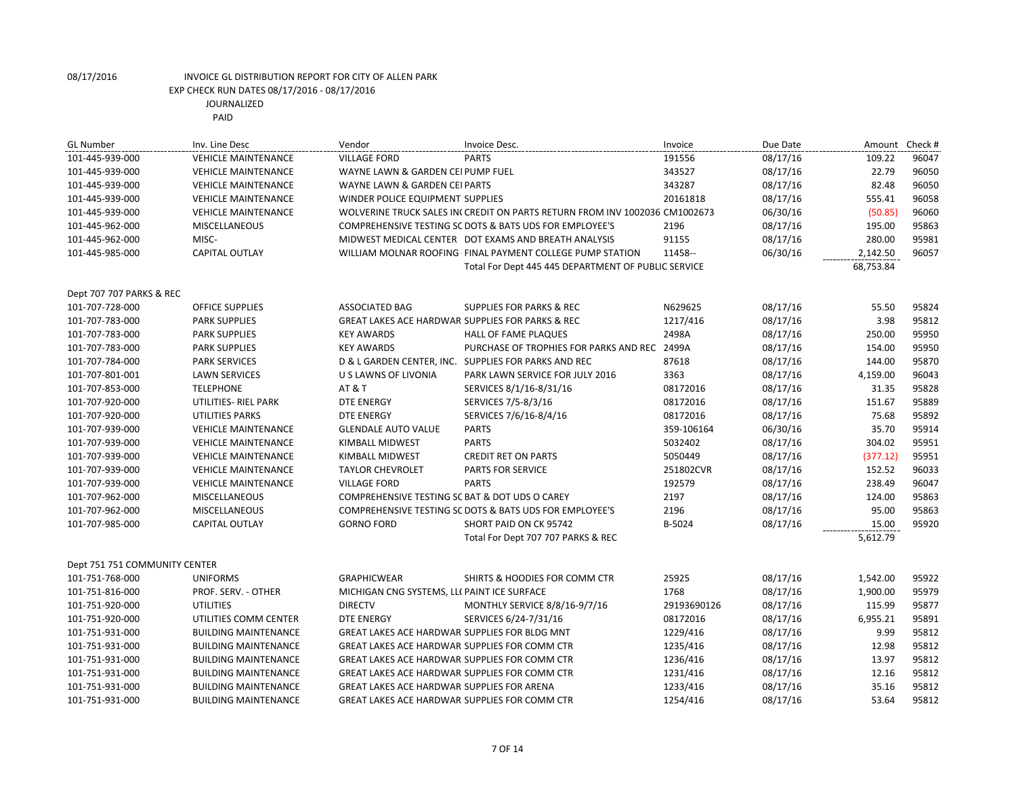| <b>GL Number</b>              | Inv. Line Desc              | Vendor                                                      | Invoice Desc.                                                               | Invoice     | Due Date | Amount    | Check# |
|-------------------------------|-----------------------------|-------------------------------------------------------------|-----------------------------------------------------------------------------|-------------|----------|-----------|--------|
| 101-445-939-000               | <b>VEHICLE MAINTENANCE</b>  | <b>VILLAGE FORD</b>                                         | <b>PARTS</b>                                                                | 191556      | 08/17/16 | 109.22    | 96047  |
| 101-445-939-000               | <b>VEHICLE MAINTENANCE</b>  | WAYNE LAWN & GARDEN CEI PUMP FUEL                           |                                                                             | 343527      | 08/17/16 | 22.79     | 96050  |
| 101-445-939-000               | <b>VEHICLE MAINTENANCE</b>  | WAYNE LAWN & GARDEN CEI PARTS                               |                                                                             | 343287      | 08/17/16 | 82.48     | 96050  |
| 101-445-939-000               | <b>VEHICLE MAINTENANCE</b>  | WINDER POLICE EQUIPMENT SUPPLIES                            |                                                                             | 20161818    | 08/17/16 | 555.41    | 96058  |
| 101-445-939-000               | <b>VEHICLE MAINTENANCE</b>  |                                                             | WOLVERINE TRUCK SALES IN( CREDIT ON PARTS RETURN FROM INV 1002036 CM1002673 |             | 06/30/16 | (50.85)   | 96060  |
| 101-445-962-000               | <b>MISCELLANEOUS</b>        |                                                             | COMPREHENSIVE TESTING SC DOTS & BATS UDS FOR EMPLOYEE'S                     | 2196        | 08/17/16 | 195.00    | 95863  |
| 101-445-962-000               | MISC-                       |                                                             | MIDWEST MEDICAL CENTER DOT EXAMS AND BREATH ANALYSIS                        | 91155       | 08/17/16 | 280.00    | 95981  |
| 101-445-985-000               | <b>CAPITAL OUTLAY</b>       |                                                             | WILLIAM MOLNAR ROOFING FINAL PAYMENT COLLEGE PUMP STATION                   | 11458--     | 06/30/16 | 2,142.50  | 96057  |
|                               |                             |                                                             | Total For Dept 445 445 DEPARTMENT OF PUBLIC SERVICE                         |             |          | 68,753.84 |        |
|                               |                             |                                                             |                                                                             |             |          |           |        |
| Dept 707 707 PARKS & REC      |                             |                                                             |                                                                             |             |          |           |        |
| 101-707-728-000               | <b>OFFICE SUPPLIES</b>      | <b>ASSOCIATED BAG</b>                                       | <b>SUPPLIES FOR PARKS &amp; REC</b>                                         | N629625     | 08/17/16 | 55.50     | 95824  |
| 101-707-783-000               | <b>PARK SUPPLIES</b>        | <b>GREAT LAKES ACE HARDWAR SUPPLIES FOR PARKS &amp; REC</b> |                                                                             | 1217/416    | 08/17/16 | 3.98      | 95812  |
| 101-707-783-000               | <b>PARK SUPPLIES</b>        | <b>KEY AWARDS</b>                                           | HALL OF FAME PLAQUES                                                        | 2498A       | 08/17/16 | 250.00    | 95950  |
| 101-707-783-000               | <b>PARK SUPPLIES</b>        | <b>KEY AWARDS</b>                                           | PURCHASE OF TROPHIES FOR PARKS AND REC 2499A                                |             | 08/17/16 | 154.00    | 95950  |
| 101-707-784-000               | <b>PARK SERVICES</b>        |                                                             | D & L GARDEN CENTER, INC. SUPPLIES FOR PARKS AND REC                        | 87618       | 08/17/16 | 144.00    | 95870  |
| 101-707-801-001               | <b>LAWN SERVICES</b>        | U S LAWNS OF LIVONIA                                        | PARK LAWN SERVICE FOR JULY 2016                                             | 3363        | 08/17/16 | 4,159.00  | 96043  |
| 101-707-853-000               | <b>TELEPHONE</b>            | <b>AT &amp; T</b>                                           | SERVICES 8/1/16-8/31/16                                                     | 08172016    | 08/17/16 | 31.35     | 95828  |
| 101-707-920-000               | UTILITIES- RIEL PARK        | <b>DTE ENERGY</b>                                           | SERVICES 7/5-8/3/16                                                         | 08172016    | 08/17/16 | 151.67    | 95889  |
| 101-707-920-000               | <b>UTILITIES PARKS</b>      | <b>DTE ENERGY</b>                                           | SERVICES 7/6/16-8/4/16                                                      | 08172016    | 08/17/16 | 75.68     | 95892  |
| 101-707-939-000               | <b>VEHICLE MAINTENANCE</b>  | <b>GLENDALE AUTO VALUE</b>                                  | <b>PARTS</b>                                                                | 359-106164  | 06/30/16 | 35.70     | 95914  |
| 101-707-939-000               | <b>VEHICLE MAINTENANCE</b>  | KIMBALL MIDWEST                                             | <b>PARTS</b>                                                                | 5032402     | 08/17/16 | 304.02    | 95951  |
| 101-707-939-000               | <b>VEHICLE MAINTENANCE</b>  | KIMBALL MIDWEST                                             | <b>CREDIT RET ON PARTS</b>                                                  | 5050449     | 08/17/16 | (377.12)  | 95951  |
| 101-707-939-000               | <b>VEHICLE MAINTENANCE</b>  | <b>TAYLOR CHEVROLET</b>                                     | PARTS FOR SERVICE                                                           | 251802CVR   | 08/17/16 | 152.52    | 96033  |
| 101-707-939-000               | <b>VEHICLE MAINTENANCE</b>  | <b>VILLAGE FORD</b>                                         | <b>PARTS</b>                                                                | 192579      | 08/17/16 | 238.49    | 96047  |
| 101-707-962-000               | <b>MISCELLANEOUS</b>        | COMPREHENSIVE TESTING SC BAT & DOT UDS O CAREY              |                                                                             | 2197        | 08/17/16 | 124.00    | 95863  |
| 101-707-962-000               | <b>MISCELLANEOUS</b>        |                                                             | COMPREHENSIVE TESTING SC DOTS & BATS UDS FOR EMPLOYEE'S                     | 2196        | 08/17/16 | 95.00     | 95863  |
| 101-707-985-000               | <b>CAPITAL OUTLAY</b>       | <b>GORNO FORD</b>                                           | SHORT PAID ON CK 95742                                                      | B-5024      | 08/17/16 | 15.00     | 95920  |
|                               |                             |                                                             | Total For Dept 707 707 PARKS & REC                                          |             |          | 5,612.79  |        |
| Dept 751 751 COMMUNITY CENTER |                             |                                                             |                                                                             |             |          |           |        |
| 101-751-768-000               | <b>UNIFORMS</b>             | <b>GRAPHICWEAR</b>                                          | <b>SHIRTS &amp; HOODIES FOR COMM CTR</b>                                    | 25925       | 08/17/16 | 1,542.00  | 95922  |
| 101-751-816-000               | PROF. SERV. - OTHER         | MICHIGAN CNG SYSTEMS, LL( PAINT ICE SURFACE                 |                                                                             | 1768        | 08/17/16 | 1,900.00  | 95979  |
| 101-751-920-000               | <b>UTILITIES</b>            | <b>DIRECTV</b>                                              | MONTHLY SERVICE 8/8/16-9/7/16                                               | 29193690126 | 08/17/16 | 115.99    | 95877  |
| 101-751-920-000               | UTILITIES COMM CENTER       | <b>DTE ENERGY</b>                                           | SERVICES 6/24-7/31/16                                                       | 08172016    | 08/17/16 | 6,955.21  | 95891  |
| 101-751-931-000               | <b>BUILDING MAINTENANCE</b> | GREAT LAKES ACE HARDWAR SUPPLIES FOR BLDG MNT               |                                                                             |             |          | 9.99      | 95812  |
|                               |                             |                                                             |                                                                             | 1229/416    | 08/17/16 |           |        |
| 101-751-931-000               | <b>BUILDING MAINTENANCE</b> | GREAT LAKES ACE HARDWAR SUPPLIES FOR COMM CTR               |                                                                             | 1235/416    | 08/17/16 | 12.98     | 95812  |
| 101-751-931-000               | <b>BUILDING MAINTENANCE</b> | GREAT LAKES ACE HARDWAR SUPPLIES FOR COMM CTR               |                                                                             | 1236/416    | 08/17/16 | 13.97     | 95812  |
| 101-751-931-000               | <b>BUILDING MAINTENANCE</b> | <b>GREAT LAKES ACE HARDWAR SUPPLIES FOR COMM CTR</b>        |                                                                             | 1231/416    | 08/17/16 | 12.16     | 95812  |
| 101-751-931-000               | <b>BUILDING MAINTENANCE</b> | <b>GREAT LAKES ACE HARDWAR SUPPLIES FOR ARENA</b>           |                                                                             | 1233/416    | 08/17/16 | 35.16     | 95812  |
| 101-751-931-000               | <b>BUILDING MAINTENANCE</b> | <b>GREAT LAKES ACE HARDWAR SUPPLIES FOR COMM CTR</b>        |                                                                             | 1254/416    | 08/17/16 | 53.64     | 95812  |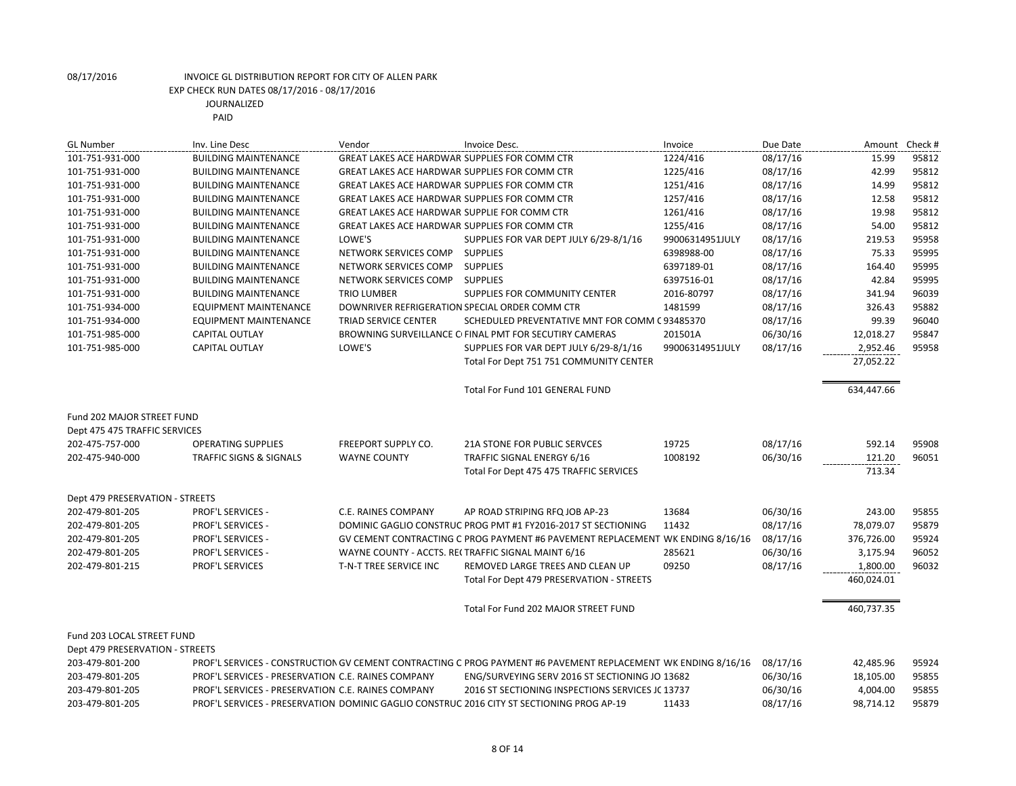| <b>GL Number</b>                | Inv. Line Desc                                     | Vendor                                               | Invoice Desc.                                                                                                 | Invoice         | Due Date | Amount     | Check # |
|---------------------------------|----------------------------------------------------|------------------------------------------------------|---------------------------------------------------------------------------------------------------------------|-----------------|----------|------------|---------|
| 101-751-931-000                 | <b>BUILDING MAINTENANCE</b>                        | GREAT LAKES ACE HARDWAR SUPPLIES FOR COMM CTR        |                                                                                                               | 1224/416        | 08/17/16 | 15.99      | 95812   |
| 101-751-931-000                 | <b>BUILDING MAINTENANCE</b>                        | GREAT LAKES ACE HARDWAR SUPPLIES FOR COMM CTR        |                                                                                                               | 1225/416        | 08/17/16 | 42.99      | 95812   |
| 101-751-931-000                 | <b>BUILDING MAINTENANCE</b>                        | <b>GREAT LAKES ACE HARDWAR SUPPLIES FOR COMM CTR</b> |                                                                                                               | 1251/416        | 08/17/16 | 14.99      | 95812   |
| 101-751-931-000                 | <b>BUILDING MAINTENANCE</b>                        | GREAT LAKES ACE HARDWAR SUPPLIES FOR COMM CTR        |                                                                                                               | 1257/416        | 08/17/16 | 12.58      | 95812   |
| 101-751-931-000                 | <b>BUILDING MAINTENANCE</b>                        | GREAT LAKES ACE HARDWAR SUPPLIE FOR COMM CTR         |                                                                                                               | 1261/416        | 08/17/16 | 19.98      | 95812   |
| 101-751-931-000                 | <b>BUILDING MAINTENANCE</b>                        | GREAT LAKES ACE HARDWAR SUPPLIES FOR COMM CTR        |                                                                                                               | 1255/416        | 08/17/16 | 54.00      | 95812   |
| 101-751-931-000                 | <b>BUILDING MAINTENANCE</b>                        | LOWE'S                                               | SUPPLIES FOR VAR DEPT JULY 6/29-8/1/16                                                                        | 99006314951JULY | 08/17/16 | 219.53     | 95958   |
| 101-751-931-000                 | <b>BUILDING MAINTENANCE</b>                        | NETWORK SERVICES COMP SUPPLIES                       |                                                                                                               | 6398988-00      | 08/17/16 | 75.33      | 95995   |
| 101-751-931-000                 | <b>BUILDING MAINTENANCE</b>                        | NETWORK SERVICES COMP                                | <b>SUPPLIES</b>                                                                                               | 6397189-01      | 08/17/16 | 164.40     | 95995   |
| 101-751-931-000                 | <b>BUILDING MAINTENANCE</b>                        | NETWORK SERVICES COMP                                | <b>SUPPLIES</b>                                                                                               | 6397516-01      | 08/17/16 | 42.84      | 95995   |
| 101-751-931-000                 | <b>BUILDING MAINTENANCE</b>                        | <b>TRIO LUMBER</b>                                   | SUPPLIES FOR COMMUNITY CENTER                                                                                 | 2016-80797      | 08/17/16 | 341.94     | 96039   |
| 101-751-934-000                 | <b>EQUIPMENT MAINTENANCE</b>                       | DOWNRIVER REFRIGERATION SPECIAL ORDER COMM CTR       |                                                                                                               | 1481599         | 08/17/16 | 326.43     | 95882   |
| 101-751-934-000                 | <b>EQUIPMENT MAINTENANCE</b>                       | TRIAD SERVICE CENTER                                 | SCHEDULED PREVENTATIVE MNT FOR COMM C 93485370                                                                |                 | 08/17/16 | 99.39      | 96040   |
| 101-751-985-000                 | <b>CAPITAL OUTLAY</b>                              |                                                      | BROWNING SURVEILLANCE C FINAL PMT FOR SECUTIRY CAMERAS                                                        | 201501A         | 06/30/16 | 12,018.27  | 95847   |
| 101-751-985-000                 | CAPITAL OUTLAY                                     | LOWE'S                                               | SUPPLIES FOR VAR DEPT JULY 6/29-8/1/16                                                                        | 99006314951JULY | 08/17/16 | 2,952.46   | 95958   |
|                                 |                                                    |                                                      | Total For Dept 751 751 COMMUNITY CENTER                                                                       |                 |          | 27,052.22  |         |
|                                 |                                                    |                                                      | Total For Fund 101 GENERAL FUND                                                                               |                 |          | 634,447.66 |         |
| Fund 202 MAJOR STREET FUND      |                                                    |                                                      |                                                                                                               |                 |          |            |         |
| Dept 475 475 TRAFFIC SERVICES   |                                                    |                                                      |                                                                                                               |                 |          |            |         |
| 202-475-757-000                 | <b>OPERATING SUPPLIES</b>                          | <b>FREEPORT SUPPLY CO.</b>                           | <b>21A STONE FOR PUBLIC SERVCES</b>                                                                           | 19725           | 08/17/16 | 592.14     | 95908   |
| 202-475-940-000                 | <b>TRAFFIC SIGNS &amp; SIGNALS</b>                 | <b>WAYNE COUNTY</b>                                  | TRAFFIC SIGNAL ENERGY 6/16                                                                                    | 1008192         | 06/30/16 | 121.20     | 96051   |
|                                 |                                                    |                                                      | Total For Dept 475 475 TRAFFIC SERVICES                                                                       |                 |          | 713.34     |         |
| Dept 479 PRESERVATION - STREETS |                                                    |                                                      |                                                                                                               |                 |          |            |         |
| 202-479-801-205                 | <b>PROF'L SERVICES -</b>                           | C.E. RAINES COMPANY                                  | AP ROAD STRIPING RFQ JOB AP-23                                                                                | 13684           | 06/30/16 | 243.00     | 95855   |
| 202-479-801-205                 | PROF'L SERVICES -                                  |                                                      | DOMINIC GAGLIO CONSTRUC PROG PMT #1 FY2016-2017 ST SECTIONING                                                 | 11432           | 08/17/16 | 78,079.07  | 95879   |
| 202-479-801-205                 | <b>PROF'L SERVICES -</b>                           |                                                      | GV CEMENT CONTRACTING C PROG PAYMENT #6 PAVEMENT REPLACEMENT WK ENDING 8/16/16                                |                 | 08/17/16 | 376,726.00 | 95924   |
| 202-479-801-205                 | <b>PROF'L SERVICES -</b>                           |                                                      | WAYNE COUNTY - ACCTS. RECTRAFFIC SIGNAL MAINT 6/16                                                            | 285621          | 06/30/16 | 3,175.94   | 96052   |
| 202-479-801-215                 | PROF'L SERVICES                                    | T-N-T TREE SERVICE INC                               | REMOVED LARGE TREES AND CLEAN UP                                                                              | 09250           | 08/17/16 | 1,800.00   | 96032   |
|                                 |                                                    |                                                      | Total For Dept 479 PRESERVATION - STREETS                                                                     |                 |          | 460,024.01 |         |
|                                 |                                                    |                                                      | Total For Fund 202 MAJOR STREET FUND                                                                          |                 |          | 460,737.35 |         |
| Fund 203 LOCAL STREET FUND      |                                                    |                                                      |                                                                                                               |                 |          |            |         |
| Dept 479 PRESERVATION - STREETS |                                                    |                                                      |                                                                                                               |                 |          |            |         |
| 203-479-801-200                 |                                                    |                                                      | PROF'L SERVICES - CONSTRUCTION GV CEMENT CONTRACTING C PROG PAYMENT #6 PAVEMENT REPLACEMENT WK ENDING 8/16/16 |                 | 08/17/16 | 42,485.96  | 95924   |
| 203-479-801-205                 | PROF'L SERVICES - PRESERVATION C.E. RAINES COMPANY |                                                      | ENG/SURVEYING SERV 2016 ST SECTIONING JO 13682                                                                |                 | 06/30/16 | 18,105.00  | 95855   |
| 203-479-801-205                 | PROF'L SERVICES - PRESERVATION C.E. RAINES COMPANY |                                                      | 2016 ST SECTIONING INSPECTIONS SERVICES JC 13737                                                              |                 | 06/30/16 | 4,004.00   | 95855   |
| 203-479-801-205                 |                                                    |                                                      | PROF'L SERVICES - PRESERVATION DOMINIC GAGLIO CONSTRUC 2016 CITY ST SECTIONING PROG AP-19                     | 11433           | 08/17/16 | 98,714.12  | 95879   |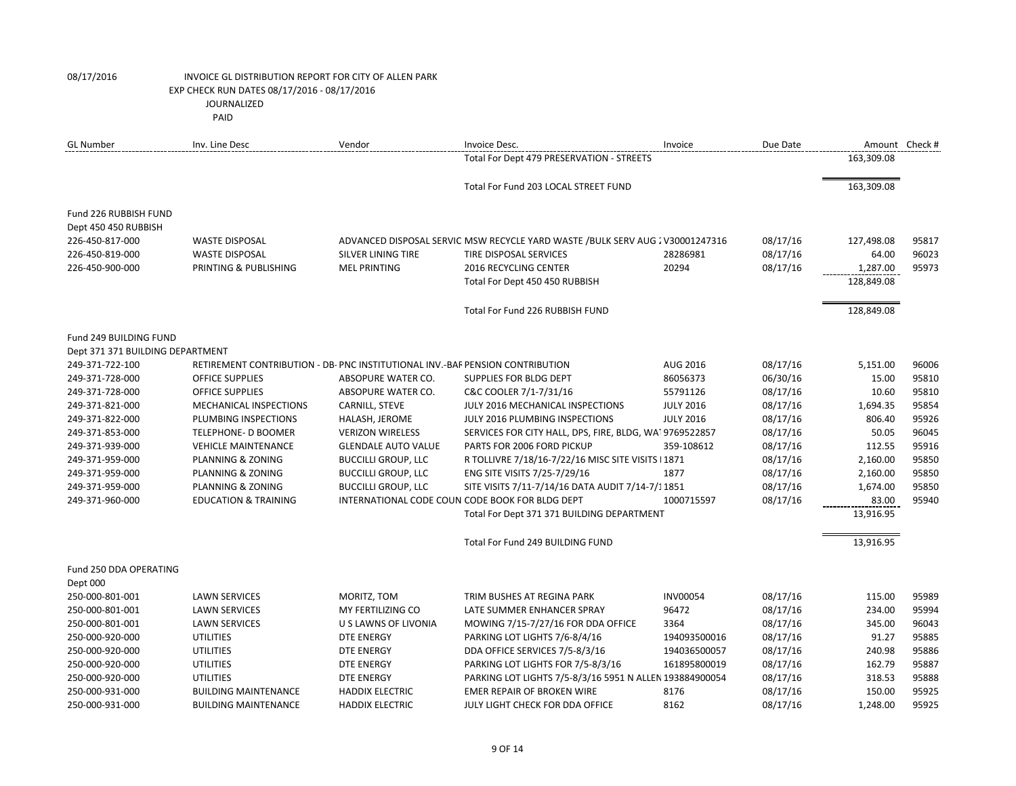|                                  | PAID                                                                          |                            |                                                                               |                  |          |            |                |
|----------------------------------|-------------------------------------------------------------------------------|----------------------------|-------------------------------------------------------------------------------|------------------|----------|------------|----------------|
| <b>GL</b> Number                 | Inv. Line Desc                                                                | Vendor                     | Invoice Desc.                                                                 | Invoice          | Due Date |            | Amount Check # |
|                                  |                                                                               |                            | Total For Dept 479 PRESERVATION - STREETS                                     |                  |          | 163,309.08 |                |
|                                  |                                                                               |                            | Total For Fund 203 LOCAL STREET FUND                                          |                  |          | 163,309.08 |                |
| Fund 226 RUBBISH FUND            |                                                                               |                            |                                                                               |                  |          |            |                |
| Dept 450 450 RUBBISH             |                                                                               |                            |                                                                               |                  |          |            |                |
| 226-450-817-000                  | <b>WASTE DISPOSAL</b>                                                         |                            | ADVANCED DISPOSAL SERVIC MSW RECYCLE YARD WASTE /BULK SERV AUG 2 V30001247316 |                  | 08/17/16 | 127,498.08 | 95817          |
| 226-450-819-000                  | <b>WASTE DISPOSAL</b>                                                         | <b>SILVER LINING TIRE</b>  | <b>TIRE DISPOSAL SERVICES</b>                                                 | 28286981         | 08/17/16 | 64.00      | 96023          |
| 226-450-900-000                  | PRINTING & PUBLISHING                                                         | <b>MEL PRINTING</b>        | 2016 RECYCLING CENTER                                                         | 20294            | 08/17/16 | 1,287.00   | 95973          |
|                                  |                                                                               |                            | Total For Dept 450 450 RUBBISH                                                |                  |          | 128,849.08 |                |
|                                  |                                                                               |                            |                                                                               |                  |          |            |                |
|                                  |                                                                               |                            | Total For Fund 226 RUBBISH FUND                                               |                  |          | 128,849.08 |                |
| Fund 249 BUILDING FUND           |                                                                               |                            |                                                                               |                  |          |            |                |
| Dept 371 371 BUILDING DEPARTMENT |                                                                               |                            |                                                                               |                  |          |            |                |
| 249-371-722-100                  | RETIREMENT CONTRIBUTION - DB- PNC INSTITUTIONAL INV.-BAF PENSION CONTRIBUTION |                            |                                                                               | AUG 2016         | 08/17/16 | 5,151.00   | 96006          |
| 249-371-728-000                  | <b>OFFICE SUPPLIES</b>                                                        | ABSOPURE WATER CO.         | SUPPLIES FOR BLDG DEPT                                                        | 86056373         | 06/30/16 | 15.00      | 95810          |
| 249-371-728-000                  | <b>OFFICE SUPPLIES</b>                                                        | ABSOPURE WATER CO.         | C&C COOLER 7/1-7/31/16                                                        | 55791126         | 08/17/16 | 10.60      | 95810          |
| 249-371-821-000                  | MECHANICAL INSPECTIONS                                                        | CARNILL, STEVE             | JULY 2016 MECHANICAL INSPECTIONS                                              | <b>JULY 2016</b> | 08/17/16 | 1,694.35   | 95854          |
| 249-371-822-000                  | PLUMBING INSPECTIONS                                                          | HALASH, JEROME             | JULY 2016 PLUMBING INSPECTIONS                                                | <b>JULY 2016</b> | 08/17/16 | 806.40     | 95926          |
| 249-371-853-000                  | TELEPHONE- D BOOMER                                                           | <b>VERIZON WIRELESS</b>    | SERVICES FOR CITY HALL, DPS, FIRE, BLDG, WAI 9769522857                       |                  | 08/17/16 | 50.05      | 96045          |
| 249-371-939-000                  | <b>VEHICLE MAINTENANCE</b>                                                    | <b>GLENDALE AUTO VALUE</b> | PARTS FOR 2006 FORD PICKUP                                                    | 359-108612       | 08/17/16 | 112.55     | 95916          |
| 249-371-959-000                  | PLANNING & ZONING                                                             | <b>BUCCILLI GROUP, LLC</b> | R TOLLIVRE 7/18/16-7/22/16 MISC SITE VISITS   1871                            |                  | 08/17/16 | 2,160.00   | 95850          |
| 249-371-959-000                  | PLANNING & ZONING                                                             | <b>BUCCILLI GROUP, LLC</b> | ENG SITE VISITS 7/25-7/29/16                                                  | 1877             | 08/17/16 | 2,160.00   | 95850          |
| 249-371-959-000                  | PLANNING & ZONING                                                             | <b>BUCCILLI GROUP, LLC</b> | SITE VISITS 7/11-7/14/16 DATA AUDIT 7/14-7/11851                              |                  | 08/17/16 | 1,674.00   | 95850          |
| 249-371-960-000                  | <b>EDUCATION &amp; TRAINING</b>                                               |                            | INTERNATIONAL CODE COUN CODE BOOK FOR BLDG DEPT                               | 1000715597       | 08/17/16 | 83.00      | 95940          |
|                                  |                                                                               |                            | Total For Dept 371 371 BUILDING DEPARTMENT                                    |                  |          | 13,916.95  |                |
|                                  |                                                                               |                            | Total For Fund 249 BUILDING FUND                                              |                  |          | 13,916.95  |                |
| Fund 250 DDA OPERATING           |                                                                               |                            |                                                                               |                  |          |            |                |
| Dept 000                         |                                                                               |                            |                                                                               |                  |          |            |                |
| 250-000-801-001                  | <b>LAWN SERVICES</b>                                                          | MORITZ, TOM                | TRIM BUSHES AT REGINA PARK                                                    | <b>INV00054</b>  | 08/17/16 | 115.00     | 95989          |
| 250-000-801-001                  | <b>LAWN SERVICES</b>                                                          | MY FERTILIZING CO          | LATE SUMMER ENHANCER SPRAY                                                    | 96472            | 08/17/16 | 234.00     | 95994          |
| 250-000-801-001                  | <b>LAWN SERVICES</b>                                                          | U S LAWNS OF LIVONIA       | MOWING 7/15-7/27/16 FOR DDA OFFICE                                            | 3364             | 08/17/16 | 345.00     | 96043          |
| 250-000-920-000                  | <b>UTILITIES</b>                                                              | <b>DTE ENERGY</b>          | PARKING LOT LIGHTS 7/6-8/4/16                                                 | 194093500016     | 08/17/16 | 91.27      | 95885          |
| 250-000-920-000                  | <b>UTILITIES</b>                                                              | <b>DTE ENERGY</b>          | DDA OFFICE SERVICES 7/5-8/3/16                                                | 194036500057     | 08/17/16 | 240.98     | 95886          |
| 250-000-920-000                  | <b>UTILITIES</b>                                                              | <b>DTE ENERGY</b>          | PARKING LOT LIGHTS FOR 7/5-8/3/16                                             | 161895800019     | 08/17/16 | 162.79     | 95887          |
| 250-000-920-000                  | <b>UTILITIES</b>                                                              | <b>DTE ENERGY</b>          | PARKING LOT LIGHTS 7/5-8/3/16 5951 N ALLEN 193884900054                       |                  | 08/17/16 | 318.53     | 95888          |
| 250-000-931-000                  | <b>BUILDING MAINTENANCE</b>                                                   | <b>HADDIX ELECTRIC</b>     | EMER REPAIR OF BROKEN WIRE                                                    | 8176             | 08/17/16 | 150.00     | 95925          |
| 250-000-931-000                  | <b>BUILDING MAINTENANCE</b>                                                   | <b>HADDIX ELECTRIC</b>     | JULY LIGHT CHECK FOR DDA OFFICE                                               | 8162             | 08/17/16 | 1.248.00   | 95925          |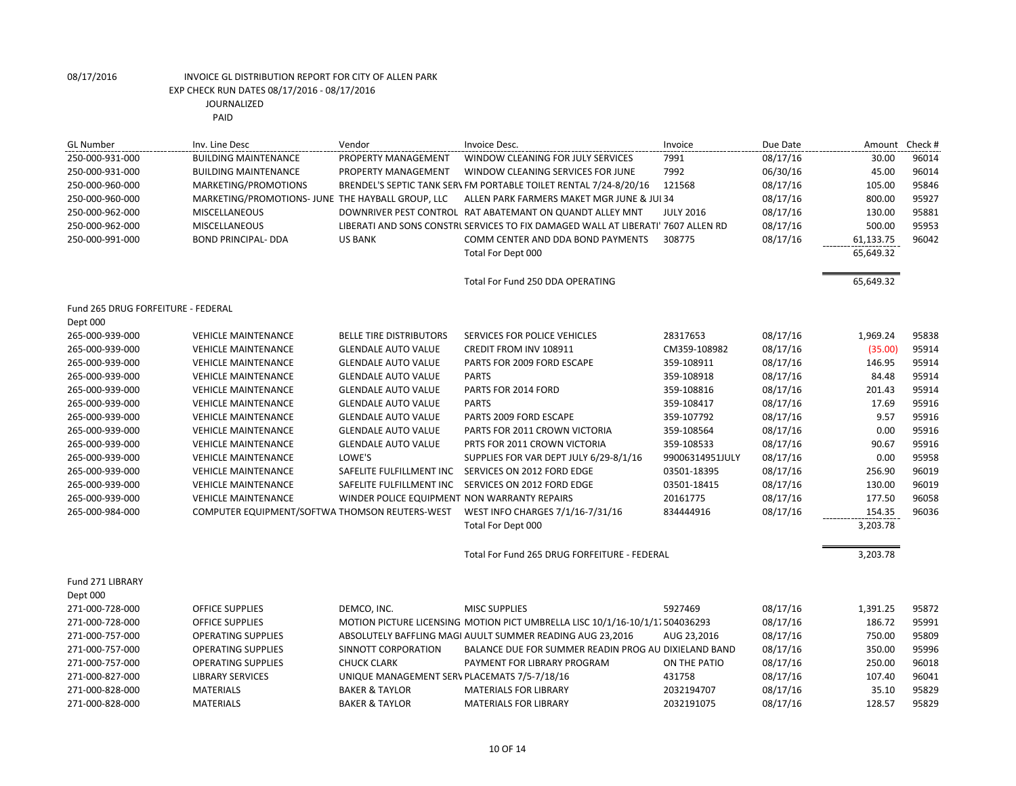| <b>GL Number</b>                   | Inv. Line Desc                                    | Vendor                                       | Invoice Desc.                                                                     | Invoice          | Due Date | Amount    | Check # |
|------------------------------------|---------------------------------------------------|----------------------------------------------|-----------------------------------------------------------------------------------|------------------|----------|-----------|---------|
| 250-000-931-000                    | <b>BUILDING MAINTENANCE</b>                       | PROPERTY MANAGEMENT                          | WINDOW CLEANING FOR JULY SERVICES                                                 | 7991             | 08/17/16 | 30.00     | 96014   |
| 250-000-931-000                    | <b>BUILDING MAINTENANCE</b>                       | PROPERTY MANAGEMENT                          | WINDOW CLEANING SERVICES FOR JUNE                                                 | 7992             | 06/30/16 | 45.00     | 96014   |
| 250-000-960-000                    | MARKETING/PROMOTIONS                              |                                              | BRENDEL'S SEPTIC TANK SER\ FM PORTABLE TOILET RENTAL 7/24-8/20/16                 | 121568           | 08/17/16 | 105.00    | 95846   |
| 250-000-960-000                    | MARKETING/PROMOTIONS- JUNE THE HAYBALL GROUP, LLC |                                              | ALLEN PARK FARMERS MAKET MGR JUNE & JUI 34                                        |                  | 08/17/16 | 800.00    | 95927   |
| 250-000-962-000                    | MISCELLANEOUS                                     |                                              | DOWNRIVER PEST CONTROL RAT ABATEMANT ON QUANDT ALLEY MNT                          | <b>JULY 2016</b> | 08/17/16 | 130.00    | 95881   |
| 250-000-962-000                    | MISCELLANEOUS                                     |                                              | LIBERATI AND SONS CONSTRI SERVICES TO FIX DAMAGED WALL AT LIBERATI' 7607 ALLEN RD |                  | 08/17/16 | 500.00    | 95953   |
| 250-000-991-000                    | <b>BOND PRINCIPAL- DDA</b>                        | <b>US BANK</b>                               | COMM CENTER AND DDA BOND PAYMENTS                                                 | 308775           | 08/17/16 | 61,133.75 | 96042   |
|                                    |                                                   |                                              | Total For Dept 000                                                                |                  |          | 65,649.32 |         |
|                                    |                                                   |                                              | Total For Fund 250 DDA OPERATING                                                  |                  |          | 65,649.32 |         |
| Fund 265 DRUG FORFEITURE - FEDERAL |                                                   |                                              |                                                                                   |                  |          |           |         |
| Dept 000                           |                                                   |                                              |                                                                                   |                  |          |           |         |
| 265-000-939-000                    | <b>VEHICLE MAINTENANCE</b>                        | <b>BELLE TIRE DISTRIBUTORS</b>               | SERVICES FOR POLICE VEHICLES                                                      | 28317653         | 08/17/16 | 1,969.24  | 95838   |
| 265-000-939-000                    | <b>VEHICLE MAINTENANCE</b>                        | <b>GLENDALE AUTO VALUE</b>                   | CREDIT FROM INV 108911                                                            | CM359-108982     | 08/17/16 | (35.00)   | 95914   |
| 265-000-939-000                    | <b>VEHICLE MAINTENANCE</b>                        | <b>GLENDALE AUTO VALUE</b>                   | PARTS FOR 2009 FORD ESCAPE                                                        | 359-108911       | 08/17/16 | 146.95    | 95914   |
| 265-000-939-000                    | <b>VEHICLE MAINTENANCE</b>                        | <b>GLENDALE AUTO VALUE</b>                   | <b>PARTS</b>                                                                      | 359-108918       | 08/17/16 | 84.48     | 95914   |
| 265-000-939-000                    | <b>VEHICLE MAINTENANCE</b>                        | <b>GLENDALE AUTO VALUE</b>                   | PARTS FOR 2014 FORD                                                               | 359-108816       | 08/17/16 | 201.43    | 95914   |
| 265-000-939-000                    | <b>VEHICLE MAINTENANCE</b>                        | <b>GLENDALE AUTO VALUE</b>                   | <b>PARTS</b>                                                                      | 359-108417       | 08/17/16 | 17.69     | 95916   |
| 265-000-939-000                    | <b>VEHICLE MAINTENANCE</b>                        | <b>GLENDALE AUTO VALUE</b>                   | PARTS 2009 FORD ESCAPE                                                            | 359-107792       | 08/17/16 | 9.57      | 95916   |
| 265-000-939-000                    | <b>VEHICLE MAINTENANCE</b>                        | <b>GLENDALE AUTO VALUE</b>                   | PARTS FOR 2011 CROWN VICTORIA                                                     | 359-108564       | 08/17/16 | 0.00      | 95916   |
| 265-000-939-000                    | <b>VEHICLE MAINTENANCE</b>                        | <b>GLENDALE AUTO VALUE</b>                   | PRTS FOR 2011 CROWN VICTORIA                                                      | 359-108533       | 08/17/16 | 90.67     | 95916   |
| 265-000-939-000                    | <b>VEHICLE MAINTENANCE</b>                        | LOWE'S                                       | SUPPLIES FOR VAR DEPT JULY 6/29-8/1/16                                            | 99006314951JULY  | 08/17/16 | 0.00      | 95958   |
| 265-000-939-000                    | <b>VEHICLE MAINTENANCE</b>                        | SAFELITE FULFILLMENT INC                     | SERVICES ON 2012 FORD EDGE                                                        | 03501-18395      | 08/17/16 | 256.90    | 96019   |
| 265-000-939-000                    | <b>VEHICLE MAINTENANCE</b>                        | SAFELITE FULFILLMENT INC                     | SERVICES ON 2012 FORD EDGE                                                        | 03501-18415      | 08/17/16 | 130.00    | 96019   |
| 265-000-939-000                    | <b>VEHICLE MAINTENANCE</b>                        | WINDER POLICE EQUIPMENT NON WARRANTY REPAIRS |                                                                                   | 20161775         | 08/17/16 | 177.50    | 96058   |
| 265-000-984-000                    | COMPUTER EQUIPMENT/SOFTWA THOMSON REUTERS-WEST    |                                              | WEST INFO CHARGES 7/1/16-7/31/16                                                  | 834444916        | 08/17/16 | 154.35    | 96036   |
|                                    |                                                   |                                              | Total For Dept 000                                                                |                  |          | 3,203.78  |         |
|                                    |                                                   |                                              | Total For Fund 265 DRUG FORFEITURE - FEDERAL                                      |                  |          | 3,203.78  |         |
| Fund 271 LIBRARY                   |                                                   |                                              |                                                                                   |                  |          |           |         |
| Dept 000                           |                                                   |                                              |                                                                                   |                  |          |           |         |
| 271-000-728-000                    | <b>OFFICE SUPPLIES</b>                            | DEMCO, INC.                                  | <b>MISC SUPPLIES</b>                                                              | 5927469          | 08/17/16 | 1,391.25  | 95872   |
| 271-000-728-000                    | <b>OFFICE SUPPLIES</b>                            |                                              | MOTION PICTURE LICENSING MOTION PICT UMBRELLA LISC 10/1/16-10/1/17 504036293      |                  | 08/17/16 | 186.72    | 95991   |
| 271-000-757-000                    | <b>OPERATING SUPPLIES</b>                         |                                              | ABSOLUTELY BAFFLING MAGI AUULT SUMMER READING AUG 23,2016                         | AUG 23,2016      | 08/17/16 | 750.00    | 95809   |
| 271-000-757-000                    | <b>OPERATING SUPPLIES</b>                         | SINNOTT CORPORATION                          | BALANCE DUE FOR SUMMER READIN PROG AU DIXIELAND BAND                              |                  | 08/17/16 | 350.00    | 95996   |
| 271-000-757-000                    | <b>OPERATING SUPPLIES</b>                         | <b>CHUCK CLARK</b>                           | PAYMENT FOR LIBRARY PROGRAM                                                       | ON THE PATIO     | 08/17/16 | 250.00    | 96018   |
| 271-000-827-000                    | <b>LIBRARY SERVICES</b>                           | UNIQUE MANAGEMENT SERV PLACEMATS 7/5-7/18/16 |                                                                                   | 431758           | 08/17/16 | 107.40    | 96041   |
| 271-000-828-000                    | <b>MATERIALS</b>                                  | <b>BAKER &amp; TAYLOR</b>                    | <b>MATERIALS FOR LIBRARY</b>                                                      | 2032194707       | 08/17/16 | 35.10     | 95829   |
| 271-000-828-000                    | <b>MATERIALS</b>                                  | <b>BAKER &amp; TAYLOR</b>                    | <b>MATERIALS FOR LIBRARY</b>                                                      | 2032191075       | 08/17/16 | 128.57    | 95829   |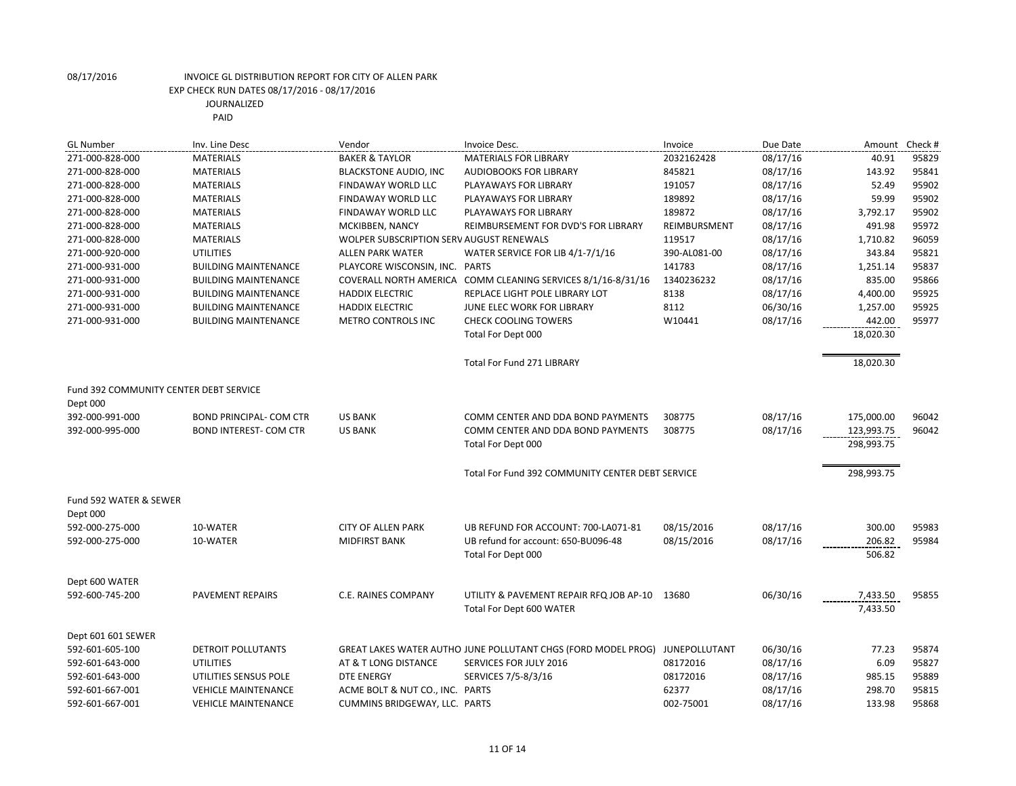| <b>GL Number</b>                                   | Inv. Line Desc                 | Vendor                                   | Invoice Desc.                                                               | Invoice      | Due Date | Amount                   | Check# |
|----------------------------------------------------|--------------------------------|------------------------------------------|-----------------------------------------------------------------------------|--------------|----------|--------------------------|--------|
| 271-000-828-000                                    | <b>MATERIALS</b>               | <b>BAKER &amp; TAYLOR</b>                | <b>MATERIALS FOR LIBRARY</b>                                                | 2032162428   | 08/17/16 | 40.91                    | 95829  |
| 271-000-828-000                                    | <b>MATERIALS</b>               | <b>BLACKSTONE AUDIO, INC</b>             | <b>AUDIOBOOKS FOR LIBRARY</b>                                               | 845821       | 08/17/16 | 143.92                   | 95841  |
| 271-000-828-000                                    | <b>MATERIALS</b>               | FINDAWAY WORLD LLC                       | PLAYAWAYS FOR LIBRARY                                                       | 191057       | 08/17/16 | 52.49                    | 95902  |
| 271-000-828-000                                    | <b>MATERIALS</b>               | <b>FINDAWAY WORLD LLC</b>                | PLAYAWAYS FOR LIBRARY                                                       | 189892       | 08/17/16 | 59.99                    | 95902  |
| 271-000-828-000                                    | <b>MATERIALS</b>               | FINDAWAY WORLD LLC                       | PLAYAWAYS FOR LIBRARY                                                       | 189872       | 08/17/16 | 3,792.17                 | 95902  |
| 271-000-828-000                                    | <b>MATERIALS</b>               | MCKIBBEN, NANCY                          | REIMBURSEMENT FOR DVD'S FOR LIBRARY                                         | REIMBURSMENT | 08/17/16 | 491.98                   | 95972  |
| 271-000-828-000                                    | <b>MATERIALS</b>               | WOLPER SUBSCRIPTION SERV AUGUST RENEWALS |                                                                             | 119517       | 08/17/16 | 1,710.82                 | 96059  |
| 271-000-920-000                                    | <b>UTILITIES</b>               | <b>ALLEN PARK WATER</b>                  | WATER SERVICE FOR LIB 4/1-7/1/16                                            | 390-AL081-00 | 08/17/16 | 343.84                   | 95821  |
| 271-000-931-000                                    | <b>BUILDING MAINTENANCE</b>    | PLAYCORE WISCONSIN, INC. PARTS           |                                                                             | 141783       | 08/17/16 | 1,251.14                 | 95837  |
| 271-000-931-000                                    | <b>BUILDING MAINTENANCE</b>    | COVERALL NORTH AMERICA                   | COMM CLEANING SERVICES 8/1/16-8/31/16                                       | 1340236232   | 08/17/16 | 835.00                   | 95866  |
| 271-000-931-000                                    | <b>BUILDING MAINTENANCE</b>    | <b>HADDIX ELECTRIC</b>                   | REPLACE LIGHT POLE LIBRARY LOT                                              | 8138         | 08/17/16 | 4,400.00                 | 95925  |
| 271-000-931-000                                    | <b>BUILDING MAINTENANCE</b>    | <b>HADDIX ELECTRIC</b>                   | JUNE ELEC WORK FOR LIBRARY                                                  | 8112         | 06/30/16 | 1,257.00                 | 95925  |
| 271-000-931-000                                    | <b>BUILDING MAINTENANCE</b>    | METRO CONTROLS INC                       | <b>CHECK COOLING TOWERS</b>                                                 | W10441       | 08/17/16 | 442.00                   | 95977  |
|                                                    |                                |                                          | Total For Dept 000                                                          |              |          | 18,020.30                |        |
|                                                    |                                |                                          | Total For Fund 271 LIBRARY                                                  |              |          | 18,020.30                |        |
| Fund 392 COMMUNITY CENTER DEBT SERVICE<br>Dept 000 |                                |                                          |                                                                             |              |          |                          |        |
| 392-000-991-000                                    | <b>BOND PRINCIPAL- COM CTR</b> | <b>US BANK</b>                           | COMM CENTER AND DDA BOND PAYMENTS                                           | 308775       | 08/17/16 | 175,000.00               | 96042  |
| 392-000-995-000                                    | <b>BOND INTEREST- COM CTR</b>  | <b>US BANK</b>                           | COMM CENTER AND DDA BOND PAYMENTS<br>Total For Dept 000                     | 308775       | 08/17/16 | 123,993.75<br>298,993.75 | 96042  |
|                                                    |                                |                                          | Total For Fund 392 COMMUNITY CENTER DEBT SERVICE                            |              |          | 298,993.75               |        |
| Fund 592 WATER & SEWER                             |                                |                                          |                                                                             |              |          |                          |        |
| Dept 000                                           |                                |                                          |                                                                             |              |          |                          |        |
| 592-000-275-000                                    | 10-WATER                       | <b>CITY OF ALLEN PARK</b>                | UB REFUND FOR ACCOUNT: 700-LA071-81                                         | 08/15/2016   | 08/17/16 | 300.00                   | 95983  |
| 592-000-275-000                                    | 10-WATER                       | <b>MIDFIRST BANK</b>                     | UB refund for account: 650-BU096-48                                         | 08/15/2016   | 08/17/16 | 206.82                   | 95984  |
|                                                    |                                |                                          | Total For Dept 000                                                          |              |          | 506.82                   |        |
| Dept 600 WATER                                     |                                |                                          |                                                                             |              |          |                          |        |
| 592-600-745-200                                    | <b>PAVEMENT REPAIRS</b>        | C.E. RAINES COMPANY                      | UTILITY & PAVEMENT REPAIR RFQ JOB AP-10                                     | 13680        | 06/30/16 | 7,433.50                 | 95855  |
|                                                    |                                |                                          | Total For Dept 600 WATER                                                    |              |          | 7,433.50                 |        |
| Dept 601 601 SEWER                                 |                                |                                          |                                                                             |              |          |                          |        |
| 592-601-605-100                                    | DETROIT POLLUTANTS             |                                          | GREAT LAKES WATER AUTHO JUNE POLLUTANT CHGS (FORD MODEL PROG) JUNEPOLLUTANT |              | 06/30/16 | 77.23                    | 95874  |
| 592-601-643-000                                    | <b>UTILITIES</b>               | AT & T LONG DISTANCE                     | <b>SERVICES FOR JULY 2016</b>                                               | 08172016     | 08/17/16 | 6.09                     | 95827  |
| 592-601-643-000                                    | UTILITIES SENSUS POLE          | <b>DTE ENERGY</b>                        | SERVICES 7/5-8/3/16                                                         | 08172016     | 08/17/16 | 985.15                   | 95889  |
| 592-601-667-001                                    | <b>VEHICLE MAINTENANCE</b>     | ACME BOLT & NUT CO., INC. PARTS          |                                                                             | 62377        | 08/17/16 | 298.70                   | 95815  |
| 592-601-667-001                                    | <b>VEHICLE MAINTENANCE</b>     | CUMMINS BRIDGEWAY, LLC. PARTS            |                                                                             | 002-75001    | 08/17/16 | 133.98                   | 95868  |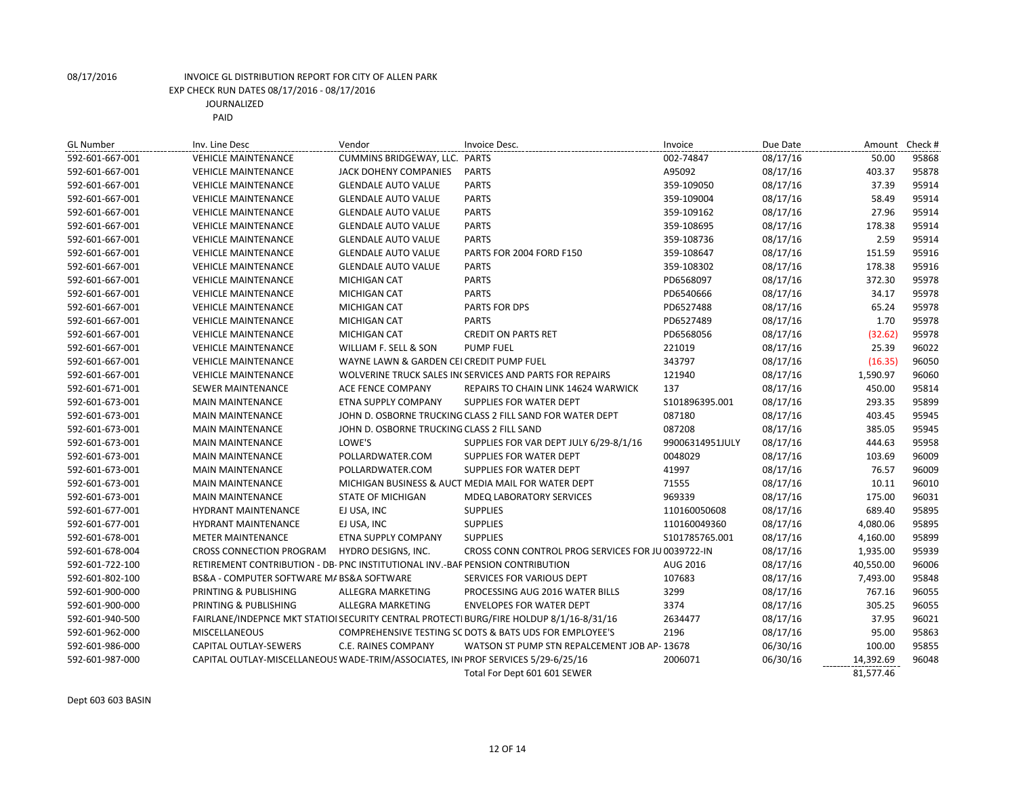| <b>GL Number</b> | Inv. Line Desc                                                                    | Vendor                                     | Invoice Desc.                                                                           | Invoice         | Due Date | Amount Check # |       |
|------------------|-----------------------------------------------------------------------------------|--------------------------------------------|-----------------------------------------------------------------------------------------|-----------------|----------|----------------|-------|
| 592-601-667-001  | <b>VEHICLE MAINTENANCE</b>                                                        | CUMMINS BRIDGEWAY, LLC. PARTS              |                                                                                         | 002-74847       | 08/17/16 | 50.00          | 95868 |
| 592-601-667-001  | <b>VEHICLE MAINTENANCE</b>                                                        | <b>JACK DOHENY COMPANIES</b>               | <b>PARTS</b>                                                                            | A95092          | 08/17/16 | 403.37         | 95878 |
| 592-601-667-001  | <b>VEHICLE MAINTENANCE</b>                                                        | <b>GLENDALE AUTO VALUE</b>                 | <b>PARTS</b>                                                                            | 359-109050      | 08/17/16 | 37.39          | 95914 |
| 592-601-667-001  | <b>VEHICLE MAINTENANCE</b>                                                        | <b>GLENDALE AUTO VALUE</b>                 | <b>PARTS</b>                                                                            | 359-109004      | 08/17/16 | 58.49          | 95914 |
| 592-601-667-001  | <b>VEHICLE MAINTENANCE</b>                                                        | <b>GLENDALE AUTO VALUE</b>                 | <b>PARTS</b>                                                                            | 359-109162      | 08/17/16 | 27.96          | 95914 |
| 592-601-667-001  | <b>VEHICLE MAINTENANCE</b>                                                        | <b>GLENDALE AUTO VALUE</b>                 | <b>PARTS</b>                                                                            | 359-108695      | 08/17/16 | 178.38         | 95914 |
| 592-601-667-001  | <b>VEHICLE MAINTENANCE</b>                                                        | <b>GLENDALE AUTO VALUE</b>                 | <b>PARTS</b>                                                                            | 359-108736      | 08/17/16 | 2.59           | 95914 |
| 592-601-667-001  | <b>VEHICLE MAINTENANCE</b>                                                        | <b>GLENDALE AUTO VALUE</b>                 | PARTS FOR 2004 FORD F150                                                                | 359-108647      | 08/17/16 | 151.59         | 95916 |
| 592-601-667-001  | <b>VEHICLE MAINTENANCE</b>                                                        | <b>GLENDALE AUTO VALUE</b>                 | <b>PARTS</b>                                                                            | 359-108302      | 08/17/16 | 178.38         | 95916 |
| 592-601-667-001  | <b>VEHICLE MAINTENANCE</b>                                                        | <b>MICHIGAN CAT</b>                        | <b>PARTS</b>                                                                            | PD6568097       | 08/17/16 | 372.30         | 95978 |
| 592-601-667-001  | <b>VEHICLE MAINTENANCE</b>                                                        | <b>MICHIGAN CAT</b>                        | <b>PARTS</b>                                                                            | PD6540666       | 08/17/16 | 34.17          | 95978 |
| 592-601-667-001  | <b>VEHICLE MAINTENANCE</b>                                                        | <b>MICHIGAN CAT</b>                        | PARTS FOR DPS                                                                           | PD6527488       | 08/17/16 | 65.24          | 95978 |
| 592-601-667-001  | <b>VEHICLE MAINTENANCE</b>                                                        | MICHIGAN CAT                               | <b>PARTS</b>                                                                            | PD6527489       | 08/17/16 | 1.70           | 95978 |
| 592-601-667-001  | <b>VEHICLE MAINTENANCE</b>                                                        | <b>MICHIGAN CAT</b>                        | <b>CREDIT ON PARTS RET</b>                                                              | PD6568056       | 08/17/16 | (32.62)        | 95978 |
| 592-601-667-001  | <b>VEHICLE MAINTENANCE</b>                                                        | WILLIAM F. SELL & SON                      | <b>PUMP FUEL</b>                                                                        | 221019          | 08/17/16 | 25.39          | 96022 |
| 592-601-667-001  | <b>VEHICLE MAINTENANCE</b>                                                        | WAYNE LAWN & GARDEN CEI CREDIT PUMP FUEL   |                                                                                         | 343797          | 08/17/16 | (16.35)        | 96050 |
| 592-601-667-001  | <b>VEHICLE MAINTENANCE</b>                                                        |                                            | WOLVERINE TRUCK SALES IN SERVICES AND PARTS FOR REPAIRS                                 | 121940          | 08/17/16 | 1,590.97       | 96060 |
| 592-601-671-001  | <b>SEWER MAINTENANCE</b>                                                          | ACE FENCE COMPANY                          | <b>REPAIRS TO CHAIN LINK 14624 WARWICK</b>                                              | 137             | 08/17/16 | 450.00         | 95814 |
| 592-601-673-001  | <b>MAIN MAINTENANCE</b>                                                           | ETNA SUPPLY COMPANY                        | <b>SUPPLIES FOR WATER DEPT</b>                                                          | S101896395.001  | 08/17/16 | 293.35         | 95899 |
| 592-601-673-001  | <b>MAIN MAINTENANCE</b>                                                           |                                            | JOHN D. OSBORNE TRUCKING CLASS 2 FILL SAND FOR WATER DEPT                               | 087180          | 08/17/16 | 403.45         | 95945 |
| 592-601-673-001  | <b>MAIN MAINTENANCE</b>                                                           | JOHN D. OSBORNE TRUCKING CLASS 2 FILL SAND |                                                                                         | 087208          | 08/17/16 | 385.05         | 95945 |
| 592-601-673-001  | <b>MAIN MAINTENANCE</b>                                                           | LOWE'S                                     | SUPPLIES FOR VAR DEPT JULY 6/29-8/1/16                                                  | 99006314951JULY | 08/17/16 | 444.63         | 95958 |
| 592-601-673-001  | <b>MAIN MAINTENANCE</b>                                                           | POLLARDWATER.COM                           | SUPPLIES FOR WATER DEPT                                                                 | 0048029         | 08/17/16 | 103.69         | 96009 |
| 592-601-673-001  | <b>MAIN MAINTENANCE</b>                                                           | POLLARDWATER.COM                           | SUPPLIES FOR WATER DEPT                                                                 | 41997           | 08/17/16 | 76.57          | 96009 |
| 592-601-673-001  | <b>MAIN MAINTENANCE</b>                                                           |                                            | MICHIGAN BUSINESS & AUCT MEDIA MAIL FOR WATER DEPT                                      | 71555           | 08/17/16 | 10.11          | 96010 |
| 592-601-673-001  | <b>MAIN MAINTENANCE</b>                                                           | <b>STATE OF MICHIGAN</b>                   | <b>MDEQ LABORATORY SERVICES</b>                                                         | 969339          | 08/17/16 | 175.00         | 96031 |
| 592-601-677-001  | <b>HYDRANT MAINTENANCE</b>                                                        | EJ USA, INC                                | <b>SUPPLIES</b>                                                                         | 110160050608    | 08/17/16 | 689.40         | 95895 |
| 592-601-677-001  | <b>HYDRANT MAINTENANCE</b>                                                        | EJ USA, INC                                | <b>SUPPLIES</b>                                                                         | 110160049360    | 08/17/16 | 4,080.06       | 95895 |
| 592-601-678-001  | <b>METER MAINTENANCE</b>                                                          | ETNA SUPPLY COMPANY                        | <b>SUPPLIES</b>                                                                         | S101785765.001  | 08/17/16 | 4,160.00       | 95899 |
| 592-601-678-004  | CROSS CONNECTION PROGRAM                                                          | HYDRO DESIGNS, INC.                        | CROSS CONN CONTROL PROG SERVICES FOR JU 0039722-IN                                      |                 | 08/17/16 | 1,935.00       | 95939 |
| 592-601-722-100  | RETIREMENT CONTRIBUTION - DB- PNC INSTITUTIONAL INV.-BAF PENSION CONTRIBUTION     |                                            |                                                                                         | AUG 2016        | 08/17/16 | 40,550.00      | 96006 |
| 592-601-802-100  | BS&A - COMPUTER SOFTWARE MA BS&A SOFTWARE                                         |                                            | SERVICES FOR VARIOUS DEPT                                                               | 107683          | 08/17/16 | 7,493.00       | 95848 |
| 592-601-900-000  | PRINTING & PUBLISHING                                                             | ALLEGRA MARKETING                          | PROCESSING AUG 2016 WATER BILLS                                                         | 3299            | 08/17/16 | 767.16         | 96055 |
| 592-601-900-000  | PRINTING & PUBLISHING                                                             | ALLEGRA MARKETING                          | <b>ENVELOPES FOR WATER DEPT</b>                                                         | 3374            | 08/17/16 | 305.25         | 96055 |
| 592-601-940-500  |                                                                                   |                                            | FAIRLANE/INDEPNCE MKT STATIOI SECURITY CENTRAL PROTECTI BURG/FIRE HOLDUP 8/1/16-8/31/16 | 2634477         | 08/17/16 | 37.95          | 96021 |
| 592-601-962-000  | <b>MISCELLANEOUS</b>                                                              |                                            | COMPREHENSIVE TESTING SC DOTS & BATS UDS FOR EMPLOYEE'S                                 | 2196            | 08/17/16 | 95.00          | 95863 |
| 592-601-986-000  | CAPITAL OUTLAY-SEWERS                                                             | C.E. RAINES COMPANY                        | WATSON ST PUMP STN REPALCEMENT JOB AP-13678                                             |                 | 06/30/16 | 100.00         | 95855 |
| 592-601-987-000  | CAPITAL OUTLAY-MISCELLANEOUS WADE-TRIM/ASSOCIATES, INI PROF SERVICES 5/29-6/25/16 |                                            |                                                                                         | 2006071         | 06/30/16 | 14,392.69      | 96048 |
|                  |                                                                                   |                                            | Total For Dept 601 601 SEWER                                                            |                 |          | 81,577.46      |       |

Dept 603 603 BASIN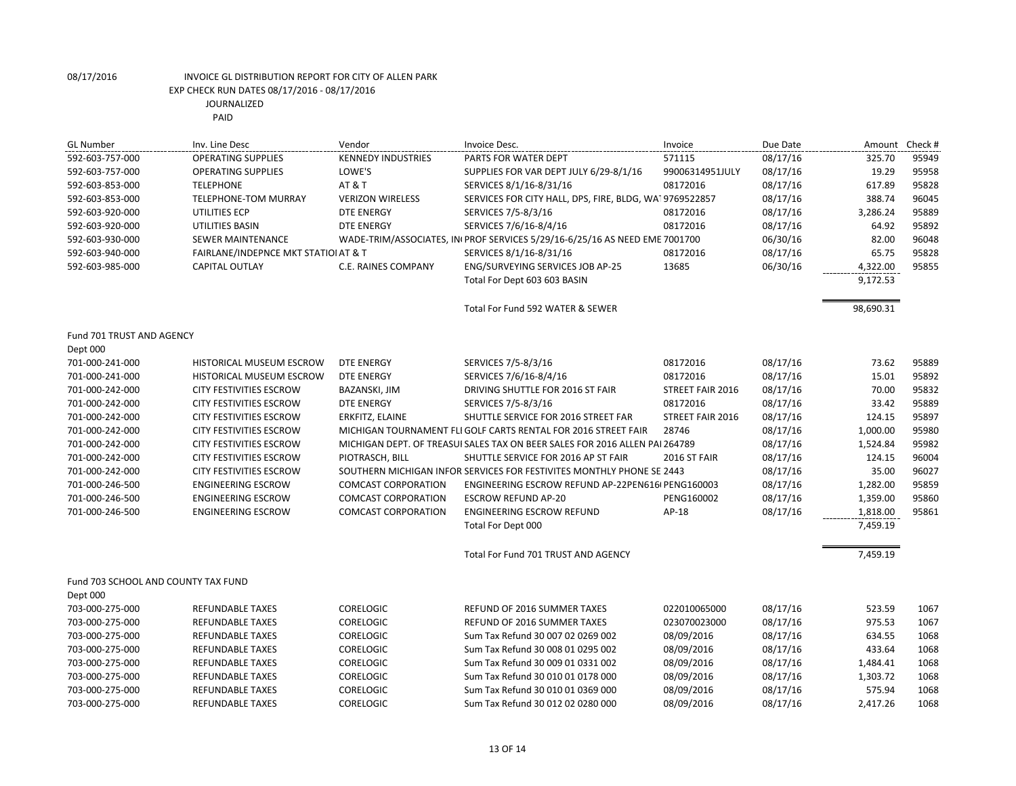| <b>GL Number</b>                    | Inv. Line Desc                       | Vendor                                                                  | Invoice Desc.                                                               | Invoice          | Due Date | Amount    | Check # |
|-------------------------------------|--------------------------------------|-------------------------------------------------------------------------|-----------------------------------------------------------------------------|------------------|----------|-----------|---------|
| 592-603-757-000                     | <b>OPERATING SUPPLIES</b>            | <b>KENNEDY INDUSTRIES</b>                                               | PARTS FOR WATER DEPT                                                        | 571115           | 08/17/16 | 325.70    | 95949   |
| 592-603-757-000                     | <b>OPERATING SUPPLIES</b>            | LOWE'S                                                                  | SUPPLIES FOR VAR DEPT JULY 6/29-8/1/16                                      | 99006314951JULY  | 08/17/16 | 19.29     | 95958   |
| 592-603-853-000                     | <b>TELEPHONE</b>                     | AT&T                                                                    | SERVICES 8/1/16-8/31/16                                                     | 08172016         | 08/17/16 | 617.89    | 95828   |
| 592-603-853-000                     | <b>TELEPHONE-TOM MURRAY</b>          | <b>VERIZON WIRELESS</b>                                                 | SERVICES FOR CITY HALL, DPS, FIRE, BLDG, WA19769522857                      |                  | 08/17/16 | 388.74    | 96045   |
| 592-603-920-000                     | UTILITIES ECP                        | <b>DTE ENERGY</b>                                                       | SERVICES 7/5-8/3/16                                                         | 08172016         | 08/17/16 | 3,286.24  | 95889   |
| 592-603-920-000                     | UTILITIES BASIN                      | <b>DTE ENERGY</b>                                                       | SERVICES 7/6/16-8/4/16                                                      | 08172016         | 08/17/16 | 64.92     | 95892   |
| 592-603-930-000                     | <b>SEWER MAINTENANCE</b>             |                                                                         | WADE-TRIM/ASSOCIATES, IN PROF SERVICES 5/29/16-6/25/16 AS NEED EME 7001700  |                  | 06/30/16 | 82.00     | 96048   |
| 592-603-940-000                     | FAIRLANE/INDEPNCE MKT STATIOI AT & T |                                                                         | SERVICES 8/1/16-8/31/16                                                     | 08172016         | 08/17/16 | 65.75     | 95828   |
| 592-603-985-000                     | <b>CAPITAL OUTLAY</b>                | C.E. RAINES COMPANY                                                     | ENG/SURVEYING SERVICES JOB AP-25                                            | 13685            | 06/30/16 | 4,322.00  | 95855   |
|                                     |                                      |                                                                         | Total For Dept 603 603 BASIN                                                |                  |          | 9,172.53  |         |
|                                     |                                      |                                                                         | Total For Fund 592 WATER & SEWER                                            |                  |          | 98,690.31 |         |
| Fund 701 TRUST AND AGENCY           |                                      |                                                                         |                                                                             |                  |          |           |         |
| Dept 000                            |                                      |                                                                         |                                                                             |                  |          |           |         |
| 701-000-241-000                     | <b>HISTORICAL MUSEUM ESCROW</b>      | <b>DTE ENERGY</b>                                                       | SERVICES 7/5-8/3/16                                                         | 08172016         | 08/17/16 | 73.62     | 95889   |
| 701-000-241-000                     | <b>HISTORICAL MUSEUM ESCROW</b>      | <b>DTE ENERGY</b>                                                       | SERVICES 7/6/16-8/4/16                                                      | 08172016         | 08/17/16 | 15.01     | 95892   |
| 701-000-242-000                     | <b>CITY FESTIVITIES ESCROW</b>       | BAZANSKI, JIM                                                           | DRIVING SHUTTLE FOR 2016 ST FAIR                                            | STREET FAIR 2016 | 08/17/16 | 70.00     | 95832   |
| 701-000-242-000                     | <b>CITY FESTIVITIES ESCROW</b>       | <b>DTE ENERGY</b>                                                       | SERVICES 7/5-8/3/16                                                         | 08172016         | 08/17/16 | 33.42     | 95889   |
| 701-000-242-000                     | <b>CITY FESTIVITIES ESCROW</b>       | ERKFITZ, ELAINE                                                         | SHUTTLE SERVICE FOR 2016 STREET FAR                                         | STREET FAIR 2016 | 08/17/16 | 124.15    | 95897   |
| 701-000-242-000                     | <b>CITY FESTIVITIES ESCROW</b>       | MICHIGAN TOURNAMENT FLI GOLF CARTS RENTAL FOR 2016 STREET FAIR<br>28746 |                                                                             |                  | 08/17/16 | 1,000.00  | 95980   |
| 701-000-242-000                     | <b>CITY FESTIVITIES ESCROW</b>       |                                                                         | MICHIGAN DEPT. OF TREASUI SALES TAX ON BEER SALES FOR 2016 ALLEN PAI 264789 |                  | 08/17/16 | 1,524.84  | 95982   |
| 701-000-242-000                     | <b>CITY FESTIVITIES ESCROW</b>       | PIOTRASCH, BILL                                                         | SHUTTLE SERVICE FOR 2016 AP ST FAIR                                         | 2016 ST FAIR     | 08/17/16 | 124.15    | 96004   |
| 701-000-242-000                     | <b>CITY FESTIVITIES ESCROW</b>       |                                                                         | SOUTHERN MICHIGAN INFOR SERVICES FOR FESTIVITES MONTHLY PHONE SE 2443       |                  | 08/17/16 | 35.00     | 96027   |
| 701-000-246-500                     | <b>ENGINEERING ESCROW</b>            | <b>COMCAST CORPORATION</b>                                              | ENGINEERING ESCROW REFUND AP-22PEN616I PENG160003                           |                  | 08/17/16 | 1,282.00  | 95859   |
| 701-000-246-500                     | <b>ENGINEERING ESCROW</b>            | <b>COMCAST CORPORATION</b>                                              | <b>ESCROW REFUND AP-20</b>                                                  | PENG160002       | 08/17/16 | 1,359.00  | 95860   |
| 701-000-246-500                     | <b>ENGINEERING ESCROW</b>            | <b>COMCAST CORPORATION</b>                                              | <b>ENGINEERING ESCROW REFUND</b>                                            | AP-18            | 08/17/16 | 1,818.00  | 95861   |
|                                     |                                      |                                                                         | Total For Dept 000                                                          |                  |          | 7,459.19  |         |
|                                     |                                      |                                                                         | Total For Fund 701 TRUST AND AGENCY                                         |                  |          | 7,459.19  |         |
| Fund 703 SCHOOL AND COUNTY TAX FUND |                                      |                                                                         |                                                                             |                  |          |           |         |
| Dept 000                            |                                      |                                                                         |                                                                             |                  |          |           |         |
| 703-000-275-000                     | <b>REFUNDABLE TAXES</b>              | <b>CORELOGIC</b>                                                        | REFUND OF 2016 SUMMER TAXES                                                 | 022010065000     | 08/17/16 | 523.59    | 1067    |
| 703-000-275-000                     | <b>REFUNDABLE TAXES</b>              | <b>CORELOGIC</b>                                                        | REFUND OF 2016 SUMMER TAXES                                                 | 023070023000     | 08/17/16 | 975.53    | 1067    |
| 703-000-275-000                     | <b>REFUNDABLE TAXES</b>              | CORELOGIC                                                               | Sum Tax Refund 30 007 02 0269 002                                           | 08/09/2016       | 08/17/16 | 634.55    | 1068    |
| 703-000-275-000                     | <b>REFUNDABLE TAXES</b>              | CORELOGIC                                                               | Sum Tax Refund 30 008 01 0295 002                                           | 08/09/2016       | 08/17/16 | 433.64    | 1068    |
| 703-000-275-000                     | <b>REFUNDABLE TAXES</b>              | <b>CORELOGIC</b>                                                        | Sum Tax Refund 30 009 01 0331 002                                           | 08/09/2016       | 08/17/16 | 1,484.41  | 1068    |
| 703-000-275-000                     | <b>REFUNDABLE TAXES</b>              | <b>CORELOGIC</b>                                                        | Sum Tax Refund 30 010 01 0178 000                                           | 08/09/2016       | 08/17/16 | 1,303.72  | 1068    |
| 703-000-275-000                     | <b>REFUNDABLE TAXES</b>              | <b>CORELOGIC</b>                                                        | Sum Tax Refund 30 010 01 0369 000                                           | 08/09/2016       | 08/17/16 | 575.94    | 1068    |
| 703-000-275-000                     | <b>REFUNDABLE TAXES</b>              | <b>CORELOGIC</b>                                                        | Sum Tax Refund 30 012 02 0280 000                                           | 08/09/2016       | 08/17/16 | 2,417.26  | 1068    |